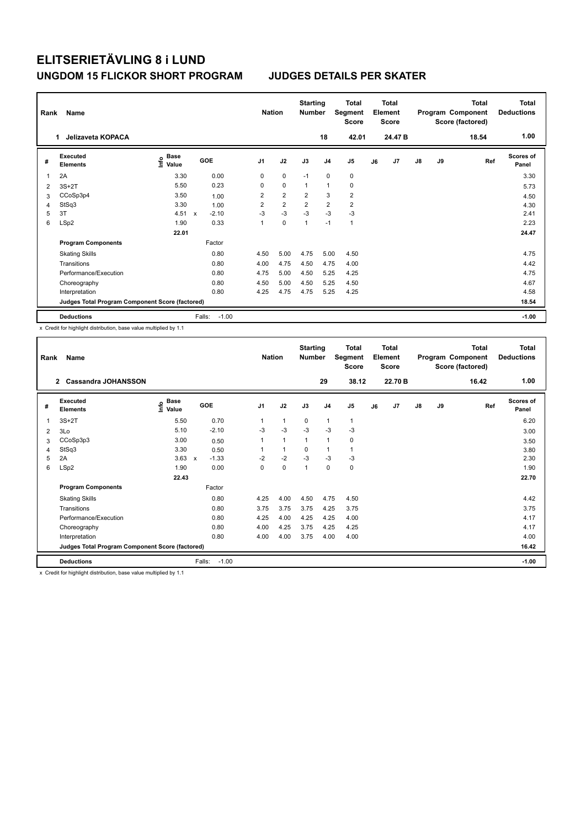| Rank | Name                                            |                                  |              |         | <b>Nation</b>  |                | <b>Starting</b><br><b>Number</b> |                | Total<br>Segment<br><b>Score</b> |    | <b>Total</b><br>Element<br><b>Score</b> |    |    | <b>Total</b><br>Program Component<br>Score (factored) | Total<br><b>Deductions</b> |
|------|-------------------------------------------------|----------------------------------|--------------|---------|----------------|----------------|----------------------------------|----------------|----------------------------------|----|-----------------------------------------|----|----|-------------------------------------------------------|----------------------------|
|      | Jelizaveta KOPACA<br>$\mathbf{1}$               |                                  |              |         |                |                |                                  | 18             | 42.01                            |    | 24.47 B                                 |    |    | 18.54                                                 | 1.00                       |
| #    | Executed<br><b>Elements</b>                     | <b>Base</b><br>e Base<br>⊆ Value |              | GOE     | J <sub>1</sub> | J2             | J3                               | J <sub>4</sub> | J5                               | J6 | J7                                      | J8 | J9 | Ref                                                   | <b>Scores of</b><br>Panel  |
| 1    | 2A                                              | 3.30                             |              | 0.00    | 0              | $\mathbf 0$    | $-1$                             | $\mathbf 0$    | $\pmb{0}$                        |    |                                         |    |    |                                                       | 3.30                       |
| 2    | $3S+2T$                                         | 5.50                             |              | 0.23    | 0              | $\mathbf 0$    | $\overline{1}$                   | $\overline{1}$ | $\mathbf 0$                      |    |                                         |    |    |                                                       | 5.73                       |
| 3    | CCoSp3p4                                        | 3.50                             |              | 1.00    | $\overline{2}$ | $\overline{2}$ | $\overline{2}$                   | 3              | $\overline{2}$                   |    |                                         |    |    |                                                       | 4.50                       |
| 4    | StSq3                                           | 3.30                             |              | 1.00    | $\overline{2}$ | $\overline{2}$ | $\overline{2}$                   | $\overline{2}$ | $\overline{2}$                   |    |                                         |    |    |                                                       | 4.30                       |
| 5    | 3T                                              | 4.51                             | $\mathsf{x}$ | $-2.10$ | $-3$           | $-3$           | $-3$                             | $-3$           | $-3$                             |    |                                         |    |    |                                                       | 2.41                       |
| 6    | LSp2                                            | 1.90                             |              | 0.33    | 1              | $\mathbf 0$    | 1                                | $-1$           | $\mathbf{1}$                     |    |                                         |    |    |                                                       | 2.23                       |
|      |                                                 | 22.01                            |              |         |                |                |                                  |                |                                  |    |                                         |    |    |                                                       | 24.47                      |
|      | <b>Program Components</b>                       |                                  |              | Factor  |                |                |                                  |                |                                  |    |                                         |    |    |                                                       |                            |
|      | <b>Skating Skills</b>                           |                                  |              | 0.80    | 4.50           | 5.00           | 4.75                             | 5.00           | 4.50                             |    |                                         |    |    |                                                       | 4.75                       |
|      | Transitions                                     |                                  |              | 0.80    | 4.00           | 4.75           | 4.50                             | 4.75           | 4.00                             |    |                                         |    |    |                                                       | 4.42                       |
|      | Performance/Execution                           |                                  |              | 0.80    | 4.75           | 5.00           | 4.50                             | 5.25           | 4.25                             |    |                                         |    |    |                                                       | 4.75                       |
|      | Choreography                                    |                                  |              | 0.80    | 4.50           | 5.00           | 4.50                             | 5.25           | 4.50                             |    |                                         |    |    |                                                       | 4.67                       |
|      | Interpretation                                  |                                  |              | 0.80    | 4.25           | 4.75           | 4.75                             | 5.25           | 4.25                             |    |                                         |    |    |                                                       | 4.58                       |
|      | Judges Total Program Component Score (factored) |                                  |              |         |                |                |                                  |                |                                  |    |                                         |    |    |                                                       | 18.54                      |
|      | <b>Deductions</b>                               |                                  | Falls:       | $-1.00$ |                |                |                                  |                |                                  |    |                                         |    |    |                                                       | $-1.00$                    |

x Credit for highlight distribution, base value multiplied by 1.1

| Rank           | Name                                            |                                  |                         | <b>Nation</b>  |      | <b>Starting</b><br><b>Number</b> |                | <b>Total</b><br>Segment<br><b>Score</b> |    | Total<br>Element<br><b>Score</b> |               |    | Total<br>Program Component<br>Score (factored) | Total<br><b>Deductions</b> |
|----------------|-------------------------------------------------|----------------------------------|-------------------------|----------------|------|----------------------------------|----------------|-----------------------------------------|----|----------------------------------|---------------|----|------------------------------------------------|----------------------------|
|                | $\overline{2}$<br><b>Cassandra JOHANSSON</b>    |                                  |                         |                |      |                                  | 29             | 38.12                                   |    | 22.70 B                          |               |    | 16.42                                          | 1.00                       |
| #              | Executed<br><b>Elements</b>                     | <b>Base</b><br>e Base<br>⊆ Value | GOE                     | J <sub>1</sub> | J2   | J3                               | J <sub>4</sub> | J <sub>5</sub>                          | J6 | J <sub>7</sub>                   | $\mathsf{J}8$ | J9 | Ref                                            | Scores of<br>Panel         |
| 1              | $3S+2T$                                         | 5.50                             | 0.70                    | 1              | 1    | $\mathbf 0$                      | 1              | $\mathbf{1}$                            |    |                                  |               |    |                                                | 6.20                       |
| $\overline{2}$ | 3Lo                                             | 5.10                             | $-2.10$                 | $-3$           | $-3$ | $-3$                             | $-3$           | $-3$                                    |    |                                  |               |    |                                                | 3.00                       |
| 3              | CCoSp3p3                                        | 3.00                             | 0.50                    | 1              | 1    | $\mathbf{1}$                     | 1              | 0                                       |    |                                  |               |    |                                                | 3.50                       |
| 4              | StSq3                                           | 3.30                             | 0.50                    |                | 1    | 0                                | 1              | $\mathbf{1}$                            |    |                                  |               |    |                                                | 3.80                       |
| 5              | 2A                                              | 3.63                             | $-1.33$<br>$\mathbf{x}$ | $-2$           | $-2$ | $-3$                             | $-3$           | $-3$                                    |    |                                  |               |    |                                                | 2.30                       |
| 6              | LSp2                                            | 1.90                             | 0.00                    | 0              | 0    | 1                                | 0              | 0                                       |    |                                  |               |    |                                                | 1.90                       |
|                |                                                 | 22.43                            |                         |                |      |                                  |                |                                         |    |                                  |               |    |                                                | 22.70                      |
|                | <b>Program Components</b>                       |                                  | Factor                  |                |      |                                  |                |                                         |    |                                  |               |    |                                                |                            |
|                | <b>Skating Skills</b>                           |                                  | 0.80                    | 4.25           | 4.00 | 4.50                             | 4.75           | 4.50                                    |    |                                  |               |    |                                                | 4.42                       |
|                | Transitions                                     |                                  | 0.80                    | 3.75           | 3.75 | 3.75                             | 4.25           | 3.75                                    |    |                                  |               |    |                                                | 3.75                       |
|                | Performance/Execution                           |                                  | 0.80                    | 4.25           | 4.00 | 4.25                             | 4.25           | 4.00                                    |    |                                  |               |    |                                                | 4.17                       |
|                | Choreography                                    |                                  | 0.80                    | 4.00           | 4.25 | 3.75                             | 4.25           | 4.25                                    |    |                                  |               |    |                                                | 4.17                       |
|                | Interpretation                                  |                                  | 0.80                    | 4.00           | 4.00 | 3.75                             | 4.00           | 4.00                                    |    |                                  |               |    |                                                | 4.00                       |
|                | Judges Total Program Component Score (factored) |                                  |                         |                |      |                                  |                |                                         |    |                                  |               |    |                                                | 16.42                      |
|                | <b>Deductions</b>                               |                                  | $-1.00$<br>Falls:       |                |      |                                  |                |                                         |    |                                  |               |    |                                                | $-1.00$                    |

x Credit for highlight distribution, base value multiplied by 1.1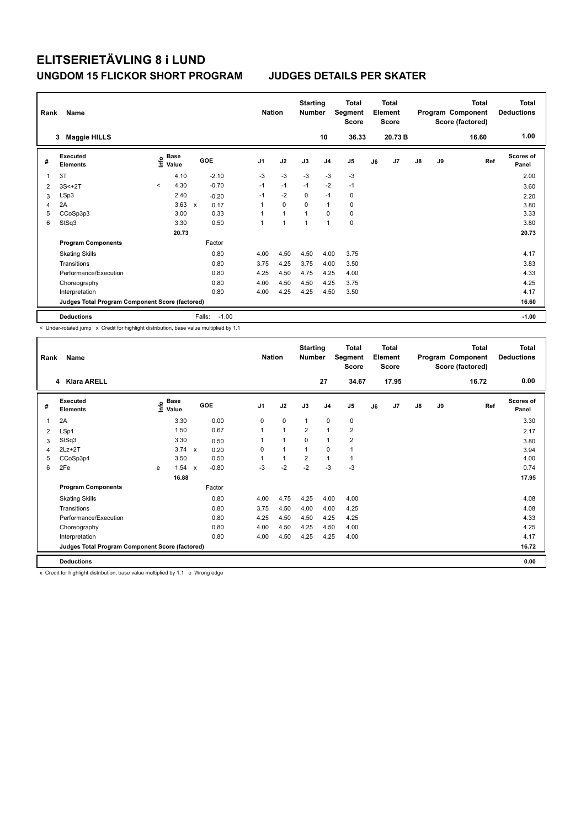| Rank | Name<br><b>Maggie HILLS</b><br>3                |                           |                   | <b>Nation</b>  |                | <b>Starting</b><br><b>Number</b> | 10             | <b>Total</b><br>Segment<br><b>Score</b><br>36.33 |    | <b>Total</b><br>Element<br><b>Score</b><br>20.73 B |               |    | <b>Total</b><br>Program Component<br>Score (factored)<br>16.60 | Total<br><b>Deductions</b><br>1.00 |
|------|-------------------------------------------------|---------------------------|-------------------|----------------|----------------|----------------------------------|----------------|--------------------------------------------------|----|----------------------------------------------------|---------------|----|----------------------------------------------------------------|------------------------------------|
| #    | Executed<br><b>Elements</b>                     | Base<br>e Base<br>⊆ Value | GOE               | J <sub>1</sub> | J2             | J3                               | J <sub>4</sub> | J5                                               | J6 | J7                                                 | $\mathsf{J}8$ | J9 | Ref                                                            | <b>Scores of</b><br>Panel          |
| 1    | 3T                                              | 4.10                      | $-2.10$           | $-3$           | $-3$           | $-3$                             | $-3$           | $-3$                                             |    |                                                    |               |    |                                                                | 2.00                               |
| 2    | $3S<+2T$                                        | 4.30<br>$\prec$           | $-0.70$           | $-1$           | $-1$           | $-1$                             | $-2$           | $-1$                                             |    |                                                    |               |    |                                                                | 3.60                               |
| 3    | LSp3                                            | 2.40                      | $-0.20$           | $-1$           | $-2$           | $\mathbf 0$                      | $-1$           | $\mathbf 0$                                      |    |                                                    |               |    |                                                                | 2.20                               |
| 4    | 2A                                              | 3.63                      | 0.17<br>X         | 1              | $\mathbf 0$    | $\Omega$                         | $\mathbf{1}$   | $\mathbf 0$                                      |    |                                                    |               |    |                                                                | 3.80                               |
| 5    | CCoSp3p3                                        | 3.00                      | 0.33              | 1              | $\overline{1}$ | 1                                | $\Omega$       | $\pmb{0}$                                        |    |                                                    |               |    |                                                                | 3.33                               |
| 6    | StSq3                                           | 3.30                      | 0.50              | 1              | 1              | 1                                | $\overline{1}$ | $\pmb{0}$                                        |    |                                                    |               |    |                                                                | 3.80                               |
|      |                                                 | 20.73                     |                   |                |                |                                  |                |                                                  |    |                                                    |               |    |                                                                | 20.73                              |
|      | <b>Program Components</b>                       |                           | Factor            |                |                |                                  |                |                                                  |    |                                                    |               |    |                                                                |                                    |
|      | <b>Skating Skills</b>                           |                           | 0.80              | 4.00           | 4.50           | 4.50                             | 4.00           | 3.75                                             |    |                                                    |               |    |                                                                | 4.17                               |
|      | Transitions                                     |                           | 0.80              | 3.75           | 4.25           | 3.75                             | 4.00           | 3.50                                             |    |                                                    |               |    |                                                                | 3.83                               |
|      | Performance/Execution                           |                           | 0.80              | 4.25           | 4.50           | 4.75                             | 4.25           | 4.00                                             |    |                                                    |               |    |                                                                | 4.33                               |
|      | Choreography                                    |                           | 0.80              | 4.00           | 4.50           | 4.50                             | 4.25           | 3.75                                             |    |                                                    |               |    |                                                                | 4.25                               |
|      | Interpretation                                  |                           | 0.80              | 4.00           | 4.25           | 4.25                             | 4.50           | 3.50                                             |    |                                                    |               |    |                                                                | 4.17                               |
|      | Judges Total Program Component Score (factored) |                           |                   |                |                |                                  |                |                                                  |    |                                                    |               |    |                                                                | 16.60                              |
|      | <b>Deductions</b>                               |                           | Falls:<br>$-1.00$ |                |                |                                  |                |                                                  |    |                                                    |               |    |                                                                | $-1.00$                            |

< Under-rotated jump x Credit for highlight distribution, base value multiplied by 1.1

| Rank         | Name                                            |   |                                  |                           |         |                | <b>Nation</b> | <b>Starting</b><br><b>Number</b> |                | <b>Total</b><br>Segment<br><b>Score</b> |    | Total<br>Element<br><b>Score</b> |               |    | <b>Total</b><br>Program Component<br>Score (factored) | <b>Total</b><br><b>Deductions</b> |
|--------------|-------------------------------------------------|---|----------------------------------|---------------------------|---------|----------------|---------------|----------------------------------|----------------|-----------------------------------------|----|----------------------------------|---------------|----|-------------------------------------------------------|-----------------------------------|
|              | 4 Klara ARELL                                   |   |                                  |                           |         |                |               |                                  | 27             | 34.67                                   |    | 17.95                            |               |    | 16.72                                                 | 0.00                              |
| #            | Executed<br><b>Elements</b>                     |   | <b>Base</b><br>e Base<br>⊆ Value |                           | GOE     | J <sub>1</sub> | J2            | J3                               | J <sub>4</sub> | J5                                      | J6 | J7                               | $\mathsf{J}8$ | J9 | Ref                                                   | <b>Scores of</b><br>Panel         |
| $\mathbf{1}$ | 2A                                              |   | 3.30                             |                           | 0.00    | $\mathbf 0$    | $\mathbf 0$   | $\mathbf{1}$                     | $\mathbf 0$    | 0                                       |    |                                  |               |    |                                                       | 3.30                              |
| 2            | LSp1                                            |   | 1.50                             |                           | 0.67    | $\mathbf{1}$   | $\mathbf{1}$  | $\overline{2}$                   | $\mathbf{1}$   | $\overline{2}$                          |    |                                  |               |    |                                                       | 2.17                              |
| 3            | StSq3                                           |   | 3.30                             |                           | 0.50    | 1              | $\mathbf{1}$  | $\Omega$                         | $\mathbf{1}$   | $\overline{2}$                          |    |                                  |               |    |                                                       | 3.80                              |
| 4            | $2Lz+2T$                                        |   | 3.74                             | $\mathsf{x}$              | 0.20    | 0              | $\mathbf{1}$  | $\mathbf{1}$                     | $\mathbf 0$    | 1                                       |    |                                  |               |    |                                                       | 3.94                              |
| 5            | CCoSp3p4                                        |   | 3.50                             |                           | 0.50    |                | $\mathbf{1}$  | $\overline{2}$                   | $\mathbf{1}$   | 1                                       |    |                                  |               |    |                                                       | 4.00                              |
| 6            | 2Fe                                             | e | 1.54                             | $\boldsymbol{\mathsf{x}}$ | $-0.80$ | $-3$           | $-2$          | $-2$                             | $-3$           | $-3$                                    |    |                                  |               |    |                                                       | 0.74                              |
|              |                                                 |   | 16.88                            |                           |         |                |               |                                  |                |                                         |    |                                  |               |    |                                                       | 17.95                             |
|              | <b>Program Components</b>                       |   |                                  |                           | Factor  |                |               |                                  |                |                                         |    |                                  |               |    |                                                       |                                   |
|              | <b>Skating Skills</b>                           |   |                                  |                           | 0.80    | 4.00           | 4.75          | 4.25                             | 4.00           | 4.00                                    |    |                                  |               |    |                                                       | 4.08                              |
|              | Transitions                                     |   |                                  |                           | 0.80    | 3.75           | 4.50          | 4.00                             | 4.00           | 4.25                                    |    |                                  |               |    |                                                       | 4.08                              |
|              | Performance/Execution                           |   |                                  |                           | 0.80    | 4.25           | 4.50          | 4.50                             | 4.25           | 4.25                                    |    |                                  |               |    |                                                       | 4.33                              |
|              | Choreography                                    |   |                                  |                           | 0.80    | 4.00           | 4.50          | 4.25                             | 4.50           | 4.00                                    |    |                                  |               |    |                                                       | 4.25                              |
|              | Interpretation                                  |   |                                  |                           | 0.80    | 4.00           | 4.50          | 4.25                             | 4.25           | 4.00                                    |    |                                  |               |    |                                                       | 4.17                              |
|              | Judges Total Program Component Score (factored) |   |                                  |                           |         |                |               |                                  |                |                                         |    |                                  |               |    |                                                       | 16.72                             |
|              | <b>Deductions</b>                               |   |                                  |                           |         |                |               |                                  |                |                                         |    |                                  |               |    |                                                       | 0.00                              |

x Credit for highlight distribution, base value multiplied by 1.1 e Wrong edge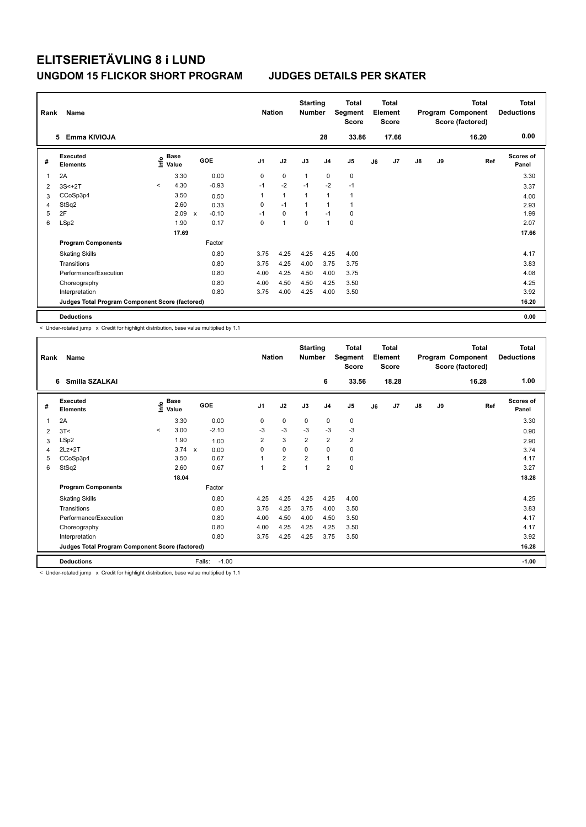| Rank | Name                                            |         |                      |              |            |                | <b>Nation</b>  | <b>Starting</b><br><b>Number</b> |                | Total<br>Segment<br><b>Score</b> |    | <b>Total</b><br>Element<br><b>Score</b> |               |    | <b>Total</b><br>Program Component<br>Score (factored) | Total<br><b>Deductions</b> |
|------|-------------------------------------------------|---------|----------------------|--------------|------------|----------------|----------------|----------------------------------|----------------|----------------------------------|----|-----------------------------------------|---------------|----|-------------------------------------------------------|----------------------------|
|      | Emma KIVIOJA<br>5                               |         |                      |              |            |                |                |                                  | 28             | 33.86                            |    | 17.66                                   |               |    | 16.20                                                 | 0.00                       |
| #    | Executed<br><b>Elements</b>                     | ١nf٥    | <b>Base</b><br>Value |              | <b>GOE</b> | J <sub>1</sub> | J2             | J3                               | J <sub>4</sub> | J <sub>5</sub>                   | J6 | J7                                      | $\mathsf{J}8$ | J9 | Ref                                                   | <b>Scores of</b><br>Panel  |
| 1    | 2A                                              |         | 3.30                 |              | 0.00       | 0              | $\mathbf 0$    | $\overline{1}$                   | $\mathbf 0$    | 0                                |    |                                         |               |    |                                                       | 3.30                       |
| 2    | $3S<+2T$                                        | $\prec$ | 4.30                 |              | $-0.93$    | $-1$           | $-2$           | $-1$                             | $-2$           | $-1$                             |    |                                         |               |    |                                                       | 3.37                       |
| 3    | CCoSp3p4                                        |         | 3.50                 |              | 0.50       | 1              | $\mathbf{1}$   | $\overline{1}$                   | $\mathbf{1}$   | $\mathbf{1}$                     |    |                                         |               |    |                                                       | 4.00                       |
| 4    | StSq2                                           |         | 2.60                 |              | 0.33       | 0              | $-1$           | $\mathbf{1}$                     | $\mathbf{1}$   | $\mathbf{1}$                     |    |                                         |               |    |                                                       | 2.93                       |
| 5    | 2F                                              |         | 2.09                 | $\mathsf{x}$ | $-0.10$    | $-1$           | $\mathbf 0$    | $\mathbf{1}$                     | $-1$           | 0                                |    |                                         |               |    |                                                       | 1.99                       |
| 6    | LSp2                                            |         | 1.90                 |              | 0.17       | 0              | $\overline{1}$ | $\Omega$                         | $\mathbf{1}$   | 0                                |    |                                         |               |    |                                                       | 2.07                       |
|      |                                                 |         | 17.69                |              |            |                |                |                                  |                |                                  |    |                                         |               |    |                                                       | 17.66                      |
|      | <b>Program Components</b>                       |         |                      |              | Factor     |                |                |                                  |                |                                  |    |                                         |               |    |                                                       |                            |
|      | <b>Skating Skills</b>                           |         |                      |              | 0.80       | 3.75           | 4.25           | 4.25                             | 4.25           | 4.00                             |    |                                         |               |    |                                                       | 4.17                       |
|      | Transitions                                     |         |                      |              | 0.80       | 3.75           | 4.25           | 4.00                             | 3.75           | 3.75                             |    |                                         |               |    |                                                       | 3.83                       |
|      | Performance/Execution                           |         |                      |              | 0.80       | 4.00           | 4.25           | 4.50                             | 4.00           | 3.75                             |    |                                         |               |    |                                                       | 4.08                       |
|      | Choreography                                    |         |                      |              | 0.80       | 4.00           | 4.50           | 4.50                             | 4.25           | 3.50                             |    |                                         |               |    |                                                       | 4.25                       |
|      | Interpretation                                  |         |                      |              | 0.80       | 3.75           | 4.00           | 4.25                             | 4.00           | 3.50                             |    |                                         |               |    |                                                       | 3.92                       |
|      | Judges Total Program Component Score (factored) |         |                      |              |            |                |                |                                  |                |                                  |    |                                         |               |    |                                                       | 16.20                      |
|      | <b>Deductions</b>                               |         |                      |              |            |                |                |                                  |                |                                  |    |                                         |               |    |                                                       | 0.00                       |

< Under-rotated jump x Credit for highlight distribution, base value multiplied by 1.1

| Rank | Name                                            |         |                      |                   | <b>Nation</b>  |                | <b>Starting</b><br><b>Number</b> |                | <b>Total</b><br>Segment<br><b>Score</b> |    | <b>Total</b><br>Element<br><b>Score</b> |    |    | <b>Total</b><br>Program Component<br>Score (factored) | Total<br><b>Deductions</b> |
|------|-------------------------------------------------|---------|----------------------|-------------------|----------------|----------------|----------------------------------|----------------|-----------------------------------------|----|-----------------------------------------|----|----|-------------------------------------------------------|----------------------------|
|      | Smilla SZALKAI<br>6                             |         |                      |                   |                |                |                                  | 6              | 33.56                                   |    | 18.28                                   |    |    | 16.28                                                 | 1.00                       |
| #    | Executed<br><b>Elements</b>                     | ۴       | <b>Base</b><br>Value | <b>GOE</b>        | J <sub>1</sub> | J2             | J3                               | J <sub>4</sub> | J <sub>5</sub>                          | J6 | J7                                      | J8 | J9 | Ref                                                   | <b>Scores of</b><br>Panel  |
| 1    | 2A                                              |         | 3.30                 | 0.00              | 0              | 0              | 0                                | $\mathbf 0$    | 0                                       |    |                                         |    |    |                                                       | 3.30                       |
| 2    | 3T<                                             | $\prec$ | 3.00                 | $-2.10$           | -3             | $-3$           | $-3$                             | $-3$           | $-3$                                    |    |                                         |    |    |                                                       | 0.90                       |
| 3    | LSp2                                            |         | 1.90                 | 1.00              | $\overline{2}$ | 3              | $\overline{2}$                   | $\overline{2}$ | 2                                       |    |                                         |    |    |                                                       | 2.90                       |
| 4    | $2Lz+2T$                                        |         | $3.74 \times$        | 0.00              | 0              | 0              | 0                                | 0              | 0                                       |    |                                         |    |    |                                                       | 3.74                       |
| 5    | CCoSp3p4                                        |         | 3.50                 | 0.67              | 1              | $\overline{2}$ | $\overline{2}$                   | $\mathbf{1}$   | 0                                       |    |                                         |    |    |                                                       | 4.17                       |
| 6    | StSq2                                           |         | 2.60                 | 0.67              | 1              | $\overline{2}$ | 1                                | $\overline{2}$ | 0                                       |    |                                         |    |    |                                                       | 3.27                       |
|      |                                                 |         | 18.04                |                   |                |                |                                  |                |                                         |    |                                         |    |    |                                                       | 18.28                      |
|      | <b>Program Components</b>                       |         |                      | Factor            |                |                |                                  |                |                                         |    |                                         |    |    |                                                       |                            |
|      | <b>Skating Skills</b>                           |         |                      | 0.80              | 4.25           | 4.25           | 4.25                             | 4.25           | 4.00                                    |    |                                         |    |    |                                                       | 4.25                       |
|      | Transitions                                     |         |                      | 0.80              | 3.75           | 4.25           | 3.75                             | 4.00           | 3.50                                    |    |                                         |    |    |                                                       | 3.83                       |
|      | Performance/Execution                           |         |                      | 0.80              | 4.00           | 4.50           | 4.00                             | 4.50           | 3.50                                    |    |                                         |    |    |                                                       | 4.17                       |
|      | Choreography                                    |         |                      | 0.80              | 4.00           | 4.25           | 4.25                             | 4.25           | 3.50                                    |    |                                         |    |    |                                                       | 4.17                       |
|      | Interpretation                                  |         |                      | 0.80              | 3.75           | 4.25           | 4.25                             | 3.75           | 3.50                                    |    |                                         |    |    |                                                       | 3.92                       |
|      | Judges Total Program Component Score (factored) |         |                      |                   |                |                |                                  |                |                                         |    |                                         |    |    |                                                       | 16.28                      |
|      | <b>Deductions</b>                               |         |                      | Falls:<br>$-1.00$ |                |                |                                  |                |                                         |    |                                         |    |    |                                                       | $-1.00$                    |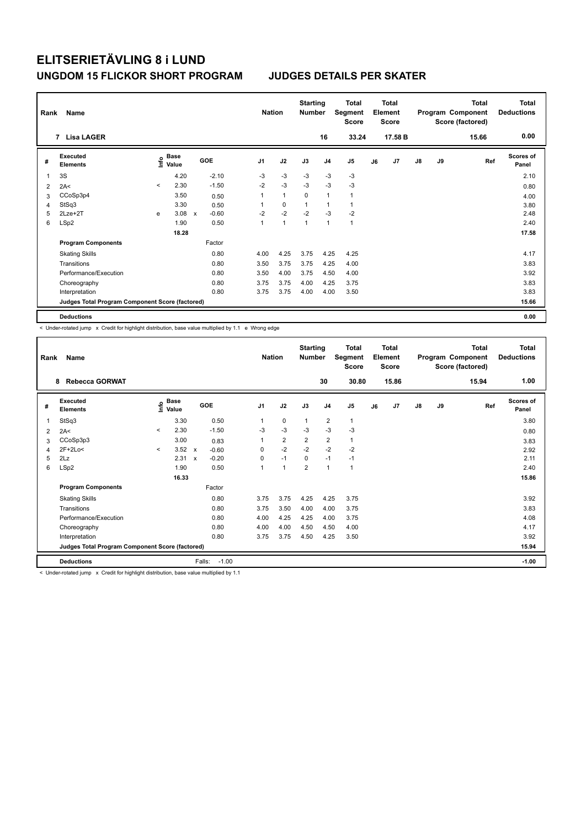| Rank | Name                                            |         |                      |              |         |                | <b>Nation</b> | <b>Starting</b><br><b>Number</b> |                | Total<br>Segment<br><b>Score</b> |    | <b>Total</b><br>Element<br><b>Score</b> |               |    | <b>Total</b><br>Program Component<br>Score (factored) | <b>Total</b><br><b>Deductions</b> |
|------|-------------------------------------------------|---------|----------------------|--------------|---------|----------------|---------------|----------------------------------|----------------|----------------------------------|----|-----------------------------------------|---------------|----|-------------------------------------------------------|-----------------------------------|
|      | 7 Lisa LAGER                                    |         |                      |              |         |                |               |                                  | 16             | 33.24                            |    | 17.58 B                                 |               |    | 15.66                                                 | 0.00                              |
| #    | Executed<br><b>Elements</b>                     | ١nf٥    | <b>Base</b><br>Value |              | GOE     | J <sub>1</sub> | J2            | J3                               | J <sub>4</sub> | J5                               | J6 | J7                                      | $\mathsf{J}8$ | J9 | Ref                                                   | <b>Scores of</b><br>Panel         |
| 1    | 3S                                              |         | 4.20                 |              | $-2.10$ | $-3$           | $-3$          | $-3$                             | $-3$           | $-3$                             |    |                                         |               |    |                                                       | 2.10                              |
| 2    | 2A<                                             | $\prec$ | 2.30                 |              | $-1.50$ | $-2$           | $-3$          | $-3$                             | $-3$           | $-3$                             |    |                                         |               |    |                                                       | 0.80                              |
| 3    | CCoSp3p4                                        |         | 3.50                 |              | 0.50    | 1              | $\mathbf{1}$  | $\mathbf 0$                      | $\overline{1}$ | $\mathbf{1}$                     |    |                                         |               |    |                                                       | 4.00                              |
| 4    | StSq3                                           |         | 3.30                 |              | 0.50    | 1              | 0             | 1                                | $\overline{1}$ | $\mathbf{1}$                     |    |                                         |               |    |                                                       | 3.80                              |
| 5    | $2Lze+2T$                                       | e       | 3.08                 | $\mathsf{x}$ | $-0.60$ | $-2$           | $-2$          | $-2$                             | $-3$           | $-2$                             |    |                                         |               |    |                                                       | 2.48                              |
| 6    | LSp2                                            |         | 1.90                 |              | 0.50    | 1              | 1             | 1                                | $\overline{1}$ | $\mathbf{1}$                     |    |                                         |               |    |                                                       | 2.40                              |
|      |                                                 |         | 18.28                |              |         |                |               |                                  |                |                                  |    |                                         |               |    |                                                       | 17.58                             |
|      | <b>Program Components</b>                       |         |                      |              | Factor  |                |               |                                  |                |                                  |    |                                         |               |    |                                                       |                                   |
|      | <b>Skating Skills</b>                           |         |                      |              | 0.80    | 4.00           | 4.25          | 3.75                             | 4.25           | 4.25                             |    |                                         |               |    |                                                       | 4.17                              |
|      | Transitions                                     |         |                      |              | 0.80    | 3.50           | 3.75          | 3.75                             | 4.25           | 4.00                             |    |                                         |               |    |                                                       | 3.83                              |
|      | Performance/Execution                           |         |                      |              | 0.80    | 3.50           | 4.00          | 3.75                             | 4.50           | 4.00                             |    |                                         |               |    |                                                       | 3.92                              |
|      | Choreography                                    |         |                      |              | 0.80    | 3.75           | 3.75          | 4.00                             | 4.25           | 3.75                             |    |                                         |               |    |                                                       | 3.83                              |
|      | Interpretation                                  |         |                      |              | 0.80    | 3.75           | 3.75          | 4.00                             | 4.00           | 3.50                             |    |                                         |               |    |                                                       | 3.83                              |
|      | Judges Total Program Component Score (factored) |         |                      |              |         |                |               |                                  |                |                                  |    |                                         |               |    |                                                       | 15.66                             |
|      | <b>Deductions</b>                               |         |                      |              |         |                |               |                                  |                |                                  |    |                                         |               |    |                                                       | 0.00                              |

< Under-rotated jump x Credit for highlight distribution, base value multiplied by 1.1 e Wrong edge

| Rank | Name                                            |         |                                  |                                      | <b>Nation</b>  |                      | <b>Starting</b><br><b>Number</b> |                         | <b>Total</b><br>Segment<br><b>Score</b> |    | Total<br>Element<br><b>Score</b> |    |    | <b>Total</b><br>Program Component<br>Score (factored) | Total<br><b>Deductions</b> |
|------|-------------------------------------------------|---------|----------------------------------|--------------------------------------|----------------|----------------------|----------------------------------|-------------------------|-----------------------------------------|----|----------------------------------|----|----|-------------------------------------------------------|----------------------------|
|      | <b>Rebecca GORWAT</b><br>8                      |         |                                  |                                      |                |                      |                                  | 30                      | 30.80                                   |    | 15.86                            |    |    | 15.94                                                 | 1.00                       |
| #    | Executed<br><b>Elements</b>                     |         | <b>Base</b><br>e Base<br>⊆ Value | GOE                                  | J <sub>1</sub> | J2                   | J3                               | J <sub>4</sub>          | J <sub>5</sub>                          | J6 | J7                               | J8 | J9 | Ref                                                   | <b>Scores of</b><br>Panel  |
| 1    | StSq3                                           |         | 3.30                             | 0.50                                 |                | 0                    | 1                                | $\overline{\mathbf{c}}$ | $\mathbf{1}$                            |    |                                  |    |    |                                                       | 3.80                       |
| 2    | 2A<                                             | $\prec$ | 2.30                             | $-1.50$                              | $-3$           | $-3$                 | $-3$                             | $-3$                    | $-3$                                    |    |                                  |    |    |                                                       | 0.80                       |
| 3    | CCoSp3p3                                        |         | 3.00                             | 0.83                                 |                | $\overline{2}$       | $\overline{2}$                   | $\overline{2}$          | 1                                       |    |                                  |    |    |                                                       | 3.83                       |
| 4    | 2F+2Lo<                                         | $\prec$ | 3.52                             | $-0.60$<br>$\mathsf{x}$              | 0              | $-2$                 | $-2$                             | $-2$                    | $-2$                                    |    |                                  |    |    |                                                       | 2.92                       |
| 5    | 2Lz                                             |         | 2.31                             | $-0.20$<br>$\boldsymbol{\mathsf{x}}$ | $\Omega$       | $-1$                 | $\Omega$                         | $-1$                    | $-1$                                    |    |                                  |    |    |                                                       | 2.11                       |
| 6    | LSp2                                            |         | 1.90                             | 0.50                                 |                | $\blacktriangleleft$ | $\overline{2}$                   | $\mathbf{1}$            | 1                                       |    |                                  |    |    |                                                       | 2.40                       |
|      |                                                 |         | 16.33                            |                                      |                |                      |                                  |                         |                                         |    |                                  |    |    |                                                       | 15.86                      |
|      | <b>Program Components</b>                       |         |                                  | Factor                               |                |                      |                                  |                         |                                         |    |                                  |    |    |                                                       |                            |
|      | <b>Skating Skills</b>                           |         |                                  | 0.80                                 | 3.75           | 3.75                 | 4.25                             | 4.25                    | 3.75                                    |    |                                  |    |    |                                                       | 3.92                       |
|      | Transitions                                     |         |                                  | 0.80                                 | 3.75           | 3.50                 | 4.00                             | 4.00                    | 3.75                                    |    |                                  |    |    |                                                       | 3.83                       |
|      | Performance/Execution                           |         |                                  | 0.80                                 | 4.00           | 4.25                 | 4.25                             | 4.00                    | 3.75                                    |    |                                  |    |    |                                                       | 4.08                       |
|      | Choreography                                    |         |                                  | 0.80                                 | 4.00           | 4.00                 | 4.50                             | 4.50                    | 4.00                                    |    |                                  |    |    |                                                       | 4.17                       |
|      | Interpretation                                  |         |                                  | 0.80                                 | 3.75           | 3.75                 | 4.50                             | 4.25                    | 3.50                                    |    |                                  |    |    |                                                       | 3.92                       |
|      | Judges Total Program Component Score (factored) |         |                                  |                                      |                |                      |                                  |                         |                                         |    |                                  |    |    |                                                       | 15.94                      |
|      | <b>Deductions</b>                               |         |                                  | Falls:<br>$-1.00$                    |                |                      |                                  |                         |                                         |    |                                  |    |    |                                                       | $-1.00$                    |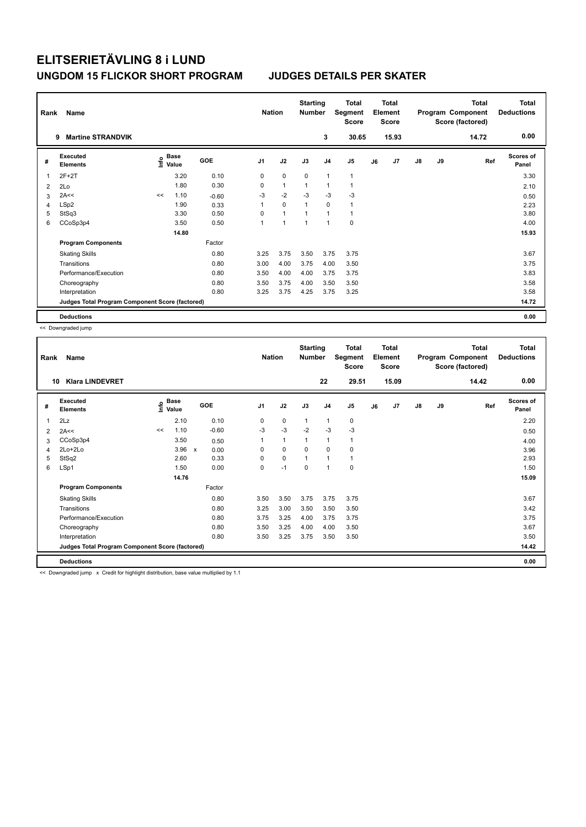| Rank | Name                                            |      |               |         | <b>Nation</b>  |                | <b>Starting</b><br><b>Number</b> |                          | Total<br>Segment<br><b>Score</b> |    | <b>Total</b><br>Element<br>Score |               |    | <b>Total</b><br>Program Component<br>Score (factored) | <b>Total</b><br><b>Deductions</b> |
|------|-------------------------------------------------|------|---------------|---------|----------------|----------------|----------------------------------|--------------------------|----------------------------------|----|----------------------------------|---------------|----|-------------------------------------------------------|-----------------------------------|
|      | <b>Martine STRANDVIK</b><br>9                   |      |               |         |                |                |                                  | 3                        | 30.65                            |    | 15.93                            |               |    | 14.72                                                 | 0.00                              |
| #    | Executed<br><b>Elements</b>                     | ١nfo | Base<br>Value | GOE     | J <sub>1</sub> | J2             | J3                               | J <sub>4</sub>           | J <sub>5</sub>                   | J6 | J7                               | $\mathsf{J}8$ | J9 | Ref                                                   | Scores of<br>Panel                |
| 1    | $2F+2T$                                         |      | 3.20          | 0.10    | 0              | $\mathbf 0$    | $\mathbf 0$                      | $\mathbf{1}$             | $\mathbf{1}$                     |    |                                  |               |    |                                                       | 3.30                              |
| 2    | 2Lo                                             |      | 1.80          | 0.30    | 0              | $\overline{1}$ | $\overline{1}$                   | $\overline{\phantom{a}}$ | $\mathbf{1}$                     |    |                                  |               |    |                                                       | 2.10                              |
| 3    | 2A<<                                            | <<   | 1.10          | $-0.60$ | $-3$           | $-2$           | $-3$                             | $-3$                     | $-3$                             |    |                                  |               |    |                                                       | 0.50                              |
| 4    | LSp2                                            |      | 1.90          | 0.33    | 1              | $\Omega$       | $\overline{1}$                   | $\Omega$                 | $\mathbf{1}$                     |    |                                  |               |    |                                                       | 2.23                              |
| 5    | StSq3                                           |      | 3.30          | 0.50    | 0              | $\overline{1}$ |                                  | $\mathbf{1}$             | $\mathbf{1}$                     |    |                                  |               |    |                                                       | 3.80                              |
| 6    | CCoSp3p4                                        |      | 3.50          | 0.50    | 1              | 1              | 1                                | $\overline{1}$           | $\mathbf 0$                      |    |                                  |               |    |                                                       | 4.00                              |
|      |                                                 |      | 14.80         |         |                |                |                                  |                          |                                  |    |                                  |               |    |                                                       | 15.93                             |
|      | <b>Program Components</b>                       |      |               | Factor  |                |                |                                  |                          |                                  |    |                                  |               |    |                                                       |                                   |
|      | <b>Skating Skills</b>                           |      |               | 0.80    | 3.25           | 3.75           | 3.50                             | 3.75                     | 3.75                             |    |                                  |               |    |                                                       | 3.67                              |
|      | Transitions                                     |      |               | 0.80    | 3.00           | 4.00           | 3.75                             | 4.00                     | 3.50                             |    |                                  |               |    |                                                       | 3.75                              |
|      | Performance/Execution                           |      |               | 0.80    | 3.50           | 4.00           | 4.00                             | 3.75                     | 3.75                             |    |                                  |               |    |                                                       | 3.83                              |
|      | Choreography                                    |      |               | 0.80    | 3.50           | 3.75           | 4.00                             | 3.50                     | 3.50                             |    |                                  |               |    |                                                       | 3.58                              |
|      | Interpretation                                  |      |               | 0.80    | 3.25           | 3.75           | 4.25                             | 3.75                     | 3.25                             |    |                                  |               |    |                                                       | 3.58                              |
|      | Judges Total Program Component Score (factored) |      |               |         |                |                |                                  |                          |                                  |    |                                  |               |    |                                                       | 14.72                             |
|      | <b>Deductions</b>                               |      |               |         |                |                |                                  |                          |                                  |    |                                  |               |    |                                                       | 0.00                              |

<< Downgraded jump

| Rank         | Name                                            |    |                                  |                      | <b>Nation</b>  |              | <b>Starting</b><br><b>Number</b> |                | <b>Total</b><br>Segment<br><b>Score</b> |    | <b>Total</b><br>Element<br><b>Score</b> |    |    | <b>Total</b><br>Program Component<br>Score (factored) | <b>Total</b><br><b>Deductions</b><br>0.00 |
|--------------|-------------------------------------------------|----|----------------------------------|----------------------|----------------|--------------|----------------------------------|----------------|-----------------------------------------|----|-----------------------------------------|----|----|-------------------------------------------------------|-------------------------------------------|
| 10           | <b>Klara LINDEVRET</b>                          |    |                                  |                      |                |              |                                  | 22             | 29.51                                   |    | 15.09                                   |    |    | 14.42                                                 |                                           |
| #            | Executed<br><b>Elements</b>                     |    | <b>Base</b><br>e Base<br>⊆ Value | GOE                  | J <sub>1</sub> | J2           | J3                               | J <sub>4</sub> | J <sub>5</sub>                          | J6 | J7                                      | J8 | J9 | Ref                                                   | Scores of<br>Panel                        |
| $\mathbf{1}$ | 2Lz                                             |    | 2.10                             | 0.10                 | 0              | 0            | $\mathbf{1}$                     | 1              | 0                                       |    |                                         |    |    |                                                       | 2.20                                      |
| 2            | 2A<<                                            | << | 1.10                             | $-0.60$              | $-3$           | $-3$         | $-2$                             | $-3$           | $-3$                                    |    |                                         |    |    |                                                       | 0.50                                      |
| 3            | CCoSp3p4                                        |    | 3.50                             | 0.50                 | 1              | $\mathbf{1}$ | 1                                | $\mathbf{1}$   | 1                                       |    |                                         |    |    |                                                       | 4.00                                      |
| 4            | 2Lo+2Lo                                         |    | 3.96                             | 0.00<br>$\mathsf{x}$ | 0              | 0            | $\mathbf 0$                      | $\mathbf 0$    | 0                                       |    |                                         |    |    |                                                       | 3.96                                      |
| 5            | StSq2                                           |    | 2.60                             | 0.33                 | $\Omega$       | $\Omega$     | $\mathbf{1}$                     | $\mathbf{1}$   | $\mathbf{1}$                            |    |                                         |    |    |                                                       | 2.93                                      |
| 6            | LSp1                                            |    | 1.50                             | 0.00                 | 0              | $-1$         | $\mathbf 0$                      | $\mathbf{1}$   | 0                                       |    |                                         |    |    |                                                       | 1.50                                      |
|              |                                                 |    | 14.76                            |                      |                |              |                                  |                |                                         |    |                                         |    |    |                                                       | 15.09                                     |
|              | <b>Program Components</b>                       |    |                                  | Factor               |                |              |                                  |                |                                         |    |                                         |    |    |                                                       |                                           |
|              | <b>Skating Skills</b>                           |    |                                  | 0.80                 | 3.50           | 3.50         | 3.75                             | 3.75           | 3.75                                    |    |                                         |    |    |                                                       | 3.67                                      |
|              | Transitions                                     |    |                                  | 0.80                 | 3.25           | 3.00         | 3.50                             | 3.50           | 3.50                                    |    |                                         |    |    |                                                       | 3.42                                      |
|              | Performance/Execution                           |    |                                  | 0.80                 | 3.75           | 3.25         | 4.00                             | 3.75           | 3.75                                    |    |                                         |    |    |                                                       | 3.75                                      |
|              | Choreography                                    |    |                                  | 0.80                 | 3.50           | 3.25         | 4.00                             | 4.00           | 3.50                                    |    |                                         |    |    |                                                       | 3.67                                      |
|              | Interpretation                                  |    |                                  | 0.80                 | 3.50           | 3.25         | 3.75                             | 3.50           | 3.50                                    |    |                                         |    |    |                                                       | 3.50                                      |
|              | Judges Total Program Component Score (factored) |    |                                  |                      |                |              |                                  |                |                                         |    |                                         |    |    |                                                       | 14.42                                     |
|              | <b>Deductions</b>                               |    |                                  |                      |                |              |                                  |                |                                         |    |                                         |    |    |                                                       | 0.00                                      |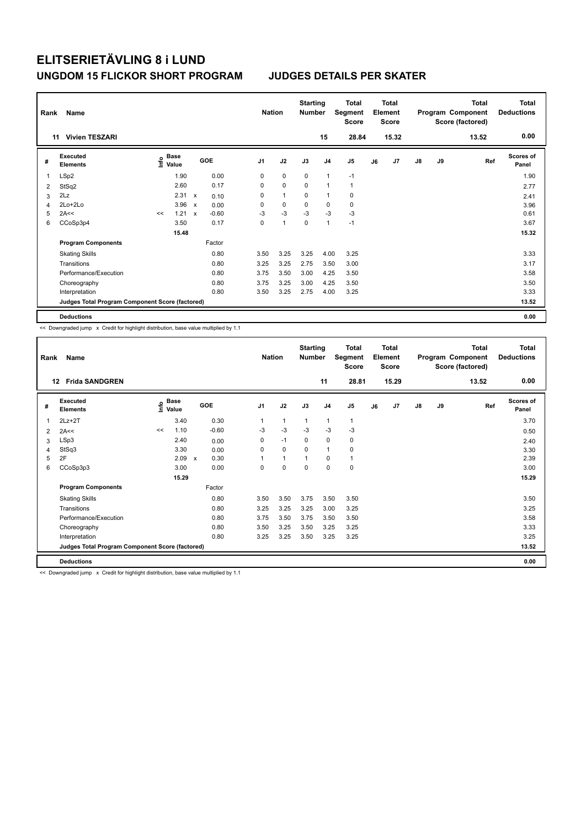| Rank | Name                                            |    |                                      |                           |            |                | <b>Nation</b> | <b>Starting</b><br><b>Number</b> |                | <b>Total</b><br>Segment<br><b>Score</b> |    | <b>Total</b><br>Element<br><b>Score</b> |               |    | <b>Total</b><br>Program Component<br>Score (factored) | <b>Total</b><br><b>Deductions</b> |
|------|-------------------------------------------------|----|--------------------------------------|---------------------------|------------|----------------|---------------|----------------------------------|----------------|-----------------------------------------|----|-----------------------------------------|---------------|----|-------------------------------------------------------|-----------------------------------|
|      | <b>Vivien TESZARI</b><br>11                     |    |                                      |                           |            |                |               |                                  | 15             | 28.84                                   |    | 15.32                                   |               |    | 13.52                                                 | 0.00                              |
| #    | Executed<br><b>Elements</b>                     |    | Base<br>e <sup>Base</sup><br>⊆ Value |                           | <b>GOE</b> | J <sub>1</sub> | J2            | J3                               | J <sub>4</sub> | J5                                      | J6 | J7                                      | $\mathsf{J}8$ | J9 | Ref                                                   | Scores of<br>Panel                |
| 1    | LSp2                                            |    | 1.90                                 |                           | 0.00       | 0              | $\mathbf 0$   | $\mathbf 0$                      | $\overline{1}$ | $-1$                                    |    |                                         |               |    |                                                       | 1.90                              |
| 2    | StSq2                                           |    | 2.60                                 |                           | 0.17       | 0              | $\mathbf 0$   | $\Omega$                         | $\overline{1}$ | $\mathbf{1}$                            |    |                                         |               |    |                                                       | 2.77                              |
| 3    | 2Lz                                             |    | 2.31                                 | $\boldsymbol{\mathsf{x}}$ | 0.10       | 0              | $\mathbf{1}$  | 0                                | $\overline{1}$ | 0                                       |    |                                         |               |    |                                                       | 2.41                              |
| 4    | 2Lo+2Lo                                         |    | 3.96                                 | $\boldsymbol{\mathsf{x}}$ | 0.00       | 0              | $\mathbf 0$   | 0                                | 0              | 0                                       |    |                                         |               |    |                                                       | 3.96                              |
| 5    | 2A<<                                            | << | 1.21                                 | $\mathbf x$               | $-0.60$    | $-3$           | $-3$          | $-3$                             | $-3$           | $-3$                                    |    |                                         |               |    |                                                       | 0.61                              |
| 6    | CCoSp3p4                                        |    | 3.50                                 |                           | 0.17       | 0              | 1             | $\Omega$                         | 1              | $-1$                                    |    |                                         |               |    |                                                       | 3.67                              |
|      |                                                 |    | 15.48                                |                           |            |                |               |                                  |                |                                         |    |                                         |               |    |                                                       | 15.32                             |
|      | <b>Program Components</b>                       |    |                                      |                           | Factor     |                |               |                                  |                |                                         |    |                                         |               |    |                                                       |                                   |
|      | <b>Skating Skills</b>                           |    |                                      |                           | 0.80       | 3.50           | 3.25          | 3.25                             | 4.00           | 3.25                                    |    |                                         |               |    |                                                       | 3.33                              |
|      | Transitions                                     |    |                                      |                           | 0.80       | 3.25           | 3.25          | 2.75                             | 3.50           | 3.00                                    |    |                                         |               |    |                                                       | 3.17                              |
|      | Performance/Execution                           |    |                                      |                           | 0.80       | 3.75           | 3.50          | 3.00                             | 4.25           | 3.50                                    |    |                                         |               |    |                                                       | 3.58                              |
|      | Choreography                                    |    |                                      |                           | 0.80       | 3.75           | 3.25          | 3.00                             | 4.25           | 3.50                                    |    |                                         |               |    |                                                       | 3.50                              |
|      | Interpretation                                  |    |                                      |                           | 0.80       | 3.50           | 3.25          | 2.75                             | 4.00           | 3.25                                    |    |                                         |               |    |                                                       | 3.33                              |
|      | Judges Total Program Component Score (factored) |    |                                      |                           |            |                |               |                                  |                |                                         |    |                                         |               |    |                                                       | 13.52                             |
|      | <b>Deductions</b>                               |    |                                      |                           |            |                |               |                                  |                |                                         |    |                                         |               |    |                                                       | 0.00                              |

<< Downgraded jump x Credit for highlight distribution, base value multiplied by 1.1

| Rank | Name                                            |    |                                  |                                   | <b>Nation</b>  |          | <b>Starting</b><br><b>Number</b> |                | Total<br>Segment<br><b>Score</b> |    | <b>Total</b><br>Element<br><b>Score</b> |               |    | <b>Total</b><br>Program Component<br>Score (factored) | <b>Total</b><br><b>Deductions</b> |
|------|-------------------------------------------------|----|----------------------------------|-----------------------------------|----------------|----------|----------------------------------|----------------|----------------------------------|----|-----------------------------------------|---------------|----|-------------------------------------------------------|-----------------------------------|
| 12   | <b>Frida SANDGREN</b>                           |    |                                  |                                   |                |          |                                  | 11             | 28.81                            |    | 15.29                                   |               |    | 13.52                                                 | 0.00                              |
| #    | Executed<br><b>Elements</b>                     |    | <b>Base</b><br>e Base<br>⊆ Value | GOE                               | J <sub>1</sub> | J2       | J3                               | J <sub>4</sub> | J <sub>5</sub>                   | J6 | J7                                      | $\mathsf{J}8$ | J9 | Ref                                                   | Scores of<br>Panel                |
| 1    | $2Lz+2T$                                        |    | 3.40                             | 0.30                              | 1              | 1        | 1                                | $\mathbf{1}$   | 1                                |    |                                         |               |    |                                                       | 3.70                              |
| 2    | 2A<<                                            | << | 1.10                             | $-0.60$                           | $-3$           | $-3$     | $-3$                             | $-3$           | $-3$                             |    |                                         |               |    |                                                       | 0.50                              |
| 3    | LSp3                                            |    | 2.40                             | 0.00                              | $\Omega$       | $-1$     | $\Omega$                         | $\mathbf 0$    | 0                                |    |                                         |               |    |                                                       | 2.40                              |
| 4    | StSq3                                           |    | 3.30                             | 0.00                              | 0              | $\Omega$ | $\Omega$                         | $\mathbf{1}$   | 0                                |    |                                         |               |    |                                                       | 3.30                              |
| 5    | 2F                                              |    | 2.09                             | 0.30<br>$\boldsymbol{\mathsf{x}}$ |                | 1        | 1                                | $\mathbf 0$    | 1                                |    |                                         |               |    |                                                       | 2.39                              |
| 6    | CCoSp3p3                                        |    | 3.00                             | 0.00                              | 0              | 0        | 0                                | 0              | 0                                |    |                                         |               |    |                                                       | 3.00                              |
|      |                                                 |    | 15.29                            |                                   |                |          |                                  |                |                                  |    |                                         |               |    |                                                       | 15.29                             |
|      | <b>Program Components</b>                       |    |                                  | Factor                            |                |          |                                  |                |                                  |    |                                         |               |    |                                                       |                                   |
|      | <b>Skating Skills</b>                           |    |                                  | 0.80                              | 3.50           | 3.50     | 3.75                             | 3.50           | 3.50                             |    |                                         |               |    |                                                       | 3.50                              |
|      | Transitions                                     |    |                                  | 0.80                              | 3.25           | 3.25     | 3.25                             | 3.00           | 3.25                             |    |                                         |               |    |                                                       | 3.25                              |
|      | Performance/Execution                           |    |                                  | 0.80                              | 3.75           | 3.50     | 3.75                             | 3.50           | 3.50                             |    |                                         |               |    |                                                       | 3.58                              |
|      | Choreography                                    |    |                                  | 0.80                              | 3.50           | 3.25     | 3.50                             | 3.25           | 3.25                             |    |                                         |               |    |                                                       | 3.33                              |
|      | Interpretation                                  |    |                                  | 0.80                              | 3.25           | 3.25     | 3.50                             | 3.25           | 3.25                             |    |                                         |               |    |                                                       | 3.25                              |
|      | Judges Total Program Component Score (factored) |    |                                  |                                   |                |          |                                  |                |                                  |    |                                         |               |    |                                                       | 13.52                             |
|      | <b>Deductions</b>                               |    |                                  |                                   |                |          |                                  |                |                                  |    |                                         |               |    |                                                       | 0.00                              |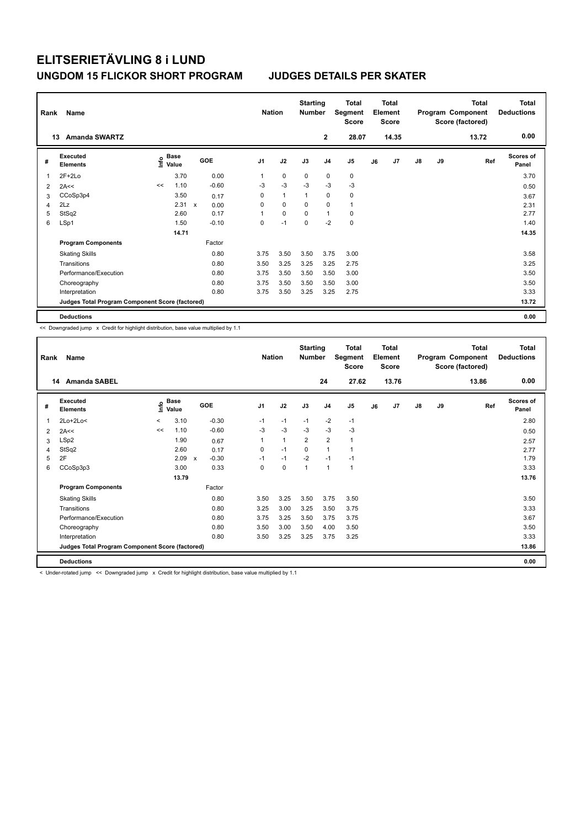| Rank           | Name                                            |                           |             |            | <b>Nation</b>  |              | <b>Starting</b><br><b>Number</b> |                | <b>Total</b><br>Segment<br><b>Score</b> |    | <b>Total</b><br>Element<br><b>Score</b> |               |    | <b>Total</b><br>Program Component<br>Score (factored) | Total<br><b>Deductions</b> |
|----------------|-------------------------------------------------|---------------------------|-------------|------------|----------------|--------------|----------------------------------|----------------|-----------------------------------------|----|-----------------------------------------|---------------|----|-------------------------------------------------------|----------------------------|
|                | <b>Amanda SWARTZ</b><br>13                      |                           |             |            |                |              |                                  | $\mathbf{2}$   | 28.07                                   |    | 14.35                                   |               |    | 13.72                                                 | 0.00                       |
| #              | <b>Executed</b><br><b>Elements</b>              | Base<br>e Base<br>⊆ Value |             | <b>GOE</b> | J <sub>1</sub> | J2           | J3                               | J <sub>4</sub> | J5                                      | J6 | J7                                      | $\mathsf{J}8$ | J9 | Ref                                                   | <b>Scores of</b><br>Panel  |
| 1              | $2F+2Lo$                                        | 3.70                      |             | 0.00       | 1              | $\mathbf 0$  | $\mathbf 0$                      | $\mathbf 0$    | $\pmb{0}$                               |    |                                         |               |    |                                                       | 3.70                       |
| $\overline{2}$ | 2A<<                                            | 1.10<br><<                |             | $-0.60$    | $-3$           | $-3$         | $-3$                             | $-3$           | $-3$                                    |    |                                         |               |    |                                                       | 0.50                       |
| 3              | CCoSp3p4                                        | 3.50                      |             | 0.17       | 0              | $\mathbf{1}$ | 1                                | 0              | $\pmb{0}$                               |    |                                         |               |    |                                                       | 3.67                       |
| 4              | 2Lz                                             | 2.31                      | $\mathbf x$ | 0.00       | 0              | 0            | $\Omega$                         | 0              | $\mathbf{1}$                            |    |                                         |               |    |                                                       | 2.31                       |
| 5              | StSq2                                           | 2.60                      |             | 0.17       | 1              | $\mathbf 0$  | $\mathbf 0$                      | $\overline{1}$ | 0                                       |    |                                         |               |    |                                                       | 2.77                       |
| 6              | LSp1                                            | 1.50                      |             | $-0.10$    | 0              | $-1$         | $\Omega$                         | $-2$           | $\mathbf 0$                             |    |                                         |               |    |                                                       | 1.40                       |
|                |                                                 | 14.71                     |             |            |                |              |                                  |                |                                         |    |                                         |               |    |                                                       | 14.35                      |
|                | <b>Program Components</b>                       |                           |             | Factor     |                |              |                                  |                |                                         |    |                                         |               |    |                                                       |                            |
|                | <b>Skating Skills</b>                           |                           |             | 0.80       | 3.75           | 3.50         | 3.50                             | 3.75           | 3.00                                    |    |                                         |               |    |                                                       | 3.58                       |
|                | Transitions                                     |                           |             | 0.80       | 3.50           | 3.25         | 3.25                             | 3.25           | 2.75                                    |    |                                         |               |    |                                                       | 3.25                       |
|                | Performance/Execution                           |                           |             | 0.80       | 3.75           | 3.50         | 3.50                             | 3.50           | 3.00                                    |    |                                         |               |    |                                                       | 3.50                       |
|                | Choreography                                    |                           |             | 0.80       | 3.75           | 3.50         | 3.50                             | 3.50           | 3.00                                    |    |                                         |               |    |                                                       | 3.50                       |
|                | Interpretation                                  |                           |             | 0.80       | 3.75           | 3.50         | 3.25                             | 3.25           | 2.75                                    |    |                                         |               |    |                                                       | 3.33                       |
|                | Judges Total Program Component Score (factored) |                           |             |            |                |              |                                  |                |                                         |    |                                         |               |    |                                                       | 13.72                      |
|                | <b>Deductions</b>                               |                           |             |            |                |              |                                  |                |                                         |    |                                         |               |    |                                                       | 0.00                       |

<< Downgraded jump x Credit for highlight distribution, base value multiplied by 1.1

| Rank | Name                                            |         |                                  |                         | <b>Nation</b>  |              | <b>Starting</b><br><b>Number</b> |                | <b>Total</b><br>Segment<br><b>Score</b> |    | Total<br>Element<br><b>Score</b> |               |    | <b>Total</b><br>Program Component<br>Score (factored) | <b>Total</b><br><b>Deductions</b> |
|------|-------------------------------------------------|---------|----------------------------------|-------------------------|----------------|--------------|----------------------------------|----------------|-----------------------------------------|----|----------------------------------|---------------|----|-------------------------------------------------------|-----------------------------------|
|      | <b>Amanda SABEL</b><br>14                       |         |                                  |                         |                |              |                                  | 24             | 27.62                                   |    | 13.76                            |               |    | 13.86                                                 | 0.00                              |
| #    | Executed<br><b>Elements</b>                     |         | <b>Base</b><br>e Base<br>⊆ Value | GOE                     | J <sub>1</sub> | J2           | J3                               | J <sub>4</sub> | J5                                      | J6 | J7                               | $\mathsf{J}8$ | J9 | Ref                                                   | <b>Scores of</b><br>Panel         |
| 1    | $2Lo+2Lo<$                                      | $\prec$ | 3.10                             | $-0.30$                 | $-1$           | $-1$         | $-1$                             | $-2$           | $-1$                                    |    |                                  |               |    |                                                       | 2.80                              |
| 2    | 2A<<                                            | <<      | 1.10                             | $-0.60$                 | $-3$           | $-3$         | $-3$                             | $-3$           | $-3$                                    |    |                                  |               |    |                                                       | 0.50                              |
| 3    | LSp2                                            |         | 1.90                             | 0.67                    | 1              | $\mathbf{1}$ | $\overline{2}$                   | $\overline{2}$ | 1                                       |    |                                  |               |    |                                                       | 2.57                              |
| 4    | StSq2                                           |         | 2.60                             | 0.17                    | 0              | $-1$         | $\mathbf 0$                      | $\mathbf{1}$   | 1                                       |    |                                  |               |    |                                                       | 2.77                              |
| 5    | 2F                                              |         | 2.09                             | $-0.30$<br>$\mathsf{x}$ | $-1$           | $-1$         | $-2$                             | $-1$           | $-1$                                    |    |                                  |               |    |                                                       | 1.79                              |
| 6    | CCoSp3p3                                        |         | 3.00                             | 0.33                    | 0              | $\mathbf 0$  | $\mathbf{1}$                     | 1              | $\mathbf{1}$                            |    |                                  |               |    |                                                       | 3.33                              |
|      |                                                 |         | 13.79                            |                         |                |              |                                  |                |                                         |    |                                  |               |    |                                                       | 13.76                             |
|      | <b>Program Components</b>                       |         |                                  | Factor                  |                |              |                                  |                |                                         |    |                                  |               |    |                                                       |                                   |
|      | <b>Skating Skills</b>                           |         |                                  | 0.80                    | 3.50           | 3.25         | 3.50                             | 3.75           | 3.50                                    |    |                                  |               |    |                                                       | 3.50                              |
|      | Transitions                                     |         |                                  | 0.80                    | 3.25           | 3.00         | 3.25                             | 3.50           | 3.75                                    |    |                                  |               |    |                                                       | 3.33                              |
|      | Performance/Execution                           |         |                                  | 0.80                    | 3.75           | 3.25         | 3.50                             | 3.75           | 3.75                                    |    |                                  |               |    |                                                       | 3.67                              |
|      | Choreography                                    |         |                                  | 0.80                    | 3.50           | 3.00         | 3.50                             | 4.00           | 3.50                                    |    |                                  |               |    |                                                       | 3.50                              |
|      | Interpretation                                  |         |                                  | 0.80                    | 3.50           | 3.25         | 3.25                             | 3.75           | 3.25                                    |    |                                  |               |    |                                                       | 3.33                              |
|      | Judges Total Program Component Score (factored) |         |                                  |                         |                |              |                                  |                |                                         |    |                                  |               |    |                                                       | 13.86                             |
|      | <b>Deductions</b>                               |         |                                  |                         |                |              |                                  |                |                                         |    |                                  |               |    |                                                       | 0.00                              |

< Under-rotated jump << Downgraded jump x Credit for highlight distribution, base value multiplied by 1.1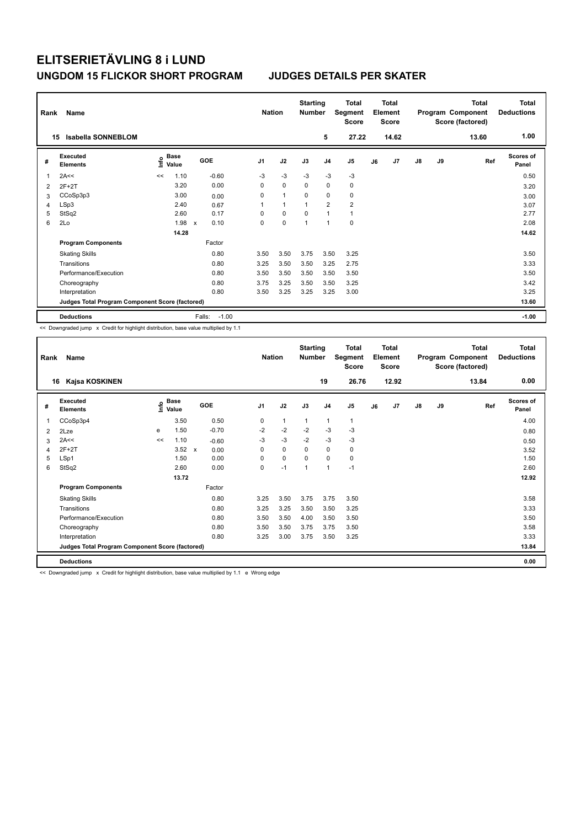| Rank | Name<br><b>Isabella SONNEBLOM</b><br>15         |      |                      |                           |         | <b>Nation</b>  |                | <b>Starting</b><br><b>Number</b> | 5              | <b>Total</b><br>Segment<br><b>Score</b><br>27.22 |    | <b>Total</b><br>Element<br><b>Score</b><br>14.62 |               |    | Total<br>Program Component<br>Score (factored)<br>13.60 | <b>Total</b><br><b>Deductions</b><br>1.00 |
|------|-------------------------------------------------|------|----------------------|---------------------------|---------|----------------|----------------|----------------------------------|----------------|--------------------------------------------------|----|--------------------------------------------------|---------------|----|---------------------------------------------------------|-------------------------------------------|
| #    | Executed<br><b>Elements</b>                     | lnfo | <b>Base</b><br>Value | GOE                       |         | J <sub>1</sub> | J2             | J3                               | J <sub>4</sub> | J5                                               | J6 | J7                                               | $\mathsf{J}8$ | J9 | Ref                                                     | <b>Scores of</b><br>Panel                 |
| 1    | 2A<<                                            | <<   | 1.10                 |                           | $-0.60$ | $-3$           | $-3$           | -3                               | $-3$           | -3                                               |    |                                                  |               |    |                                                         | 0.50                                      |
| 2    | $2F+2T$                                         |      | 3.20                 |                           | 0.00    | 0              | $\mathbf 0$    | 0                                | $\mathbf 0$    | 0                                                |    |                                                  |               |    |                                                         | 3.20                                      |
| 3    | CCoSp3p3                                        |      | 3.00                 |                           | 0.00    | 0              | $\overline{1}$ | $\mathbf 0$                      | $\mathbf 0$    | 0                                                |    |                                                  |               |    |                                                         | 3.00                                      |
| 4    | LSp3                                            |      | 2.40                 |                           | 0.67    | 1              | $\overline{1}$ | $\overline{1}$                   | $\overline{2}$ | $\overline{\mathbf{c}}$                          |    |                                                  |               |    |                                                         | 3.07                                      |
| 5    | StSq2                                           |      | 2.60                 |                           | 0.17    | 0              | $\mathbf 0$    | $\Omega$                         | $\overline{1}$ | $\mathbf{1}$                                     |    |                                                  |               |    |                                                         | 2.77                                      |
| 6    | 2Lo                                             |      | 1.98                 | $\boldsymbol{\mathsf{x}}$ | 0.10    | 0              | $\mathbf 0$    | $\overline{1}$                   | $\overline{1}$ | $\mathbf 0$                                      |    |                                                  |               |    |                                                         | 2.08                                      |
|      |                                                 |      | 14.28                |                           |         |                |                |                                  |                |                                                  |    |                                                  |               |    |                                                         | 14.62                                     |
|      | <b>Program Components</b>                       |      |                      |                           | Factor  |                |                |                                  |                |                                                  |    |                                                  |               |    |                                                         |                                           |
|      | <b>Skating Skills</b>                           |      |                      |                           | 0.80    | 3.50           | 3.50           | 3.75                             | 3.50           | 3.25                                             |    |                                                  |               |    |                                                         | 3.50                                      |
|      | Transitions                                     |      |                      |                           | 0.80    | 3.25           | 3.50           | 3.50                             | 3.25           | 2.75                                             |    |                                                  |               |    |                                                         | 3.33                                      |
|      | Performance/Execution                           |      |                      |                           | 0.80    | 3.50           | 3.50           | 3.50                             | 3.50           | 3.50                                             |    |                                                  |               |    |                                                         | 3.50                                      |
|      | Choreography                                    |      |                      |                           | 0.80    | 3.75           | 3.25           | 3.50                             | 3.50           | 3.25                                             |    |                                                  |               |    |                                                         | 3.42                                      |
|      | Interpretation                                  |      |                      |                           | 0.80    | 3.50           | 3.25           | 3.25                             | 3.25           | 3.00                                             |    |                                                  |               |    |                                                         | 3.25                                      |
|      | Judges Total Program Component Score (factored) |      |                      |                           |         |                |                |                                  |                |                                                  |    |                                                  |               |    |                                                         | 13.60                                     |
|      | <b>Deductions</b>                               |      |                      | Falls:                    | $-1.00$ |                |                |                                  |                |                                                  |    |                                                  |               |    |                                                         | $-1.00$                                   |

<< Downgraded jump x Credit for highlight distribution, base value multiplied by 1.1

| Rank | Name                                            |    |                                    |                      | <b>Nation</b>  |              | <b>Starting</b><br><b>Number</b> |                | <b>Total</b><br>Segment<br><b>Score</b> |    | <b>Total</b><br>Element<br><b>Score</b> |               |    | <b>Total</b><br>Program Component<br>Score (factored) | <b>Total</b><br><b>Deductions</b> |
|------|-------------------------------------------------|----|------------------------------------|----------------------|----------------|--------------|----------------------------------|----------------|-----------------------------------------|----|-----------------------------------------|---------------|----|-------------------------------------------------------|-----------------------------------|
| 16   | Kajsa KOSKINEN                                  |    |                                    |                      |                |              |                                  | 19             | 26.76                                   |    | 12.92                                   |               |    | 13.84                                                 | 0.00                              |
| #    | Executed<br><b>Elements</b>                     |    | <b>Base</b><br>$\frac{e}{E}$ Value | <b>GOE</b>           | J <sub>1</sub> | J2           | J3                               | J <sub>4</sub> | J5                                      | J6 | J7                                      | $\mathsf{J}8$ | J9 | Ref                                                   | <b>Scores of</b><br>Panel         |
| 1    | CCoSp3p4                                        |    | 3.50                               | 0.50                 | $\mathbf 0$    | $\mathbf{1}$ | $\mathbf{1}$                     | $\mathbf{1}$   | 1                                       |    |                                         |               |    |                                                       | 4.00                              |
| 2    | 2Lze                                            | е  | 1.50                               | $-0.70$              | $-2$           | $-2$         | $-2$                             | $-3$           | $-3$                                    |    |                                         |               |    |                                                       | 0.80                              |
| 3    | 2A<<                                            | << | 1.10                               | $-0.60$              | $-3$           | $-3$         | $-2$                             | $-3$           | $-3$                                    |    |                                         |               |    |                                                       | 0.50                              |
| 4    | $2F+2T$                                         |    | 3.52                               | 0.00<br>$\mathsf{x}$ | 0              | $\mathbf 0$  | $\Omega$                         | 0              | 0                                       |    |                                         |               |    |                                                       | 3.52                              |
| 5    | LSp1                                            |    | 1.50                               | 0.00                 | 0              | $\mathbf 0$  | $\Omega$                         | $\mathbf 0$    | 0                                       |    |                                         |               |    |                                                       | 1.50                              |
| 6    | StSq2                                           |    | 2.60                               | 0.00                 | $\pmb{0}$      | $-1$         | 1                                | $\mathbf{1}$   | $-1$                                    |    |                                         |               |    |                                                       | 2.60                              |
|      |                                                 |    | 13.72                              |                      |                |              |                                  |                |                                         |    |                                         |               |    |                                                       | 12.92                             |
|      | <b>Program Components</b>                       |    |                                    | Factor               |                |              |                                  |                |                                         |    |                                         |               |    |                                                       |                                   |
|      | <b>Skating Skills</b>                           |    |                                    | 0.80                 | 3.25           | 3.50         | 3.75                             | 3.75           | 3.50                                    |    |                                         |               |    |                                                       | 3.58                              |
|      | Transitions                                     |    |                                    | 0.80                 | 3.25           | 3.25         | 3.50                             | 3.50           | 3.25                                    |    |                                         |               |    |                                                       | 3.33                              |
|      | Performance/Execution                           |    |                                    | 0.80                 | 3.50           | 3.50         | 4.00                             | 3.50           | 3.50                                    |    |                                         |               |    |                                                       | 3.50                              |
|      | Choreography                                    |    |                                    | 0.80                 | 3.50           | 3.50         | 3.75                             | 3.75           | 3.50                                    |    |                                         |               |    |                                                       | 3.58                              |
|      | Interpretation                                  |    |                                    | 0.80                 | 3.25           | 3.00         | 3.75                             | 3.50           | 3.25                                    |    |                                         |               |    |                                                       | 3.33                              |
|      | Judges Total Program Component Score (factored) |    |                                    |                      |                |              |                                  |                |                                         |    |                                         |               |    |                                                       | 13.84                             |
|      | <b>Deductions</b>                               |    |                                    |                      |                |              |                                  |                |                                         |    |                                         |               |    |                                                       | 0.00                              |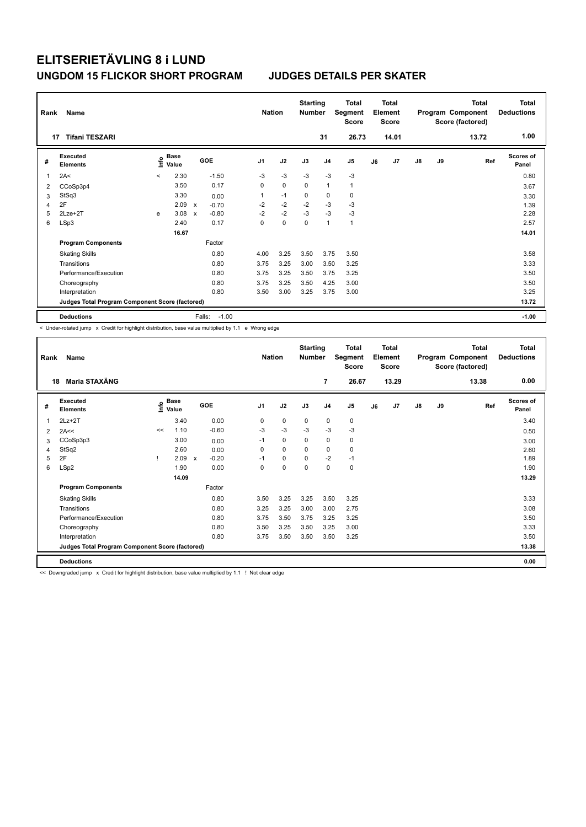| Rank<br>17 | Name<br><b>Tifani TESZARI</b>                   |         |               |                           |         | <b>Nation</b>  |             | <b>Starting</b><br><b>Number</b> | 31             | <b>Total</b><br>Segment<br><b>Score</b><br>26.73 |    | <b>Total</b><br>Element<br><b>Score</b><br>14.01 |               |    | <b>Total</b><br>Program Component<br>Score (factored)<br>13.72 | Total<br><b>Deductions</b><br>1.00 |
|------------|-------------------------------------------------|---------|---------------|---------------------------|---------|----------------|-------------|----------------------------------|----------------|--------------------------------------------------|----|--------------------------------------------------|---------------|----|----------------------------------------------------------------|------------------------------------|
|            |                                                 |         |               |                           |         |                |             |                                  |                |                                                  |    |                                                  |               |    |                                                                |                                    |
| #          | Executed<br><b>Elements</b>                     | ١nf٥    | Base<br>Value |                           | GOE     | J <sub>1</sub> | J2          | J3                               | J <sub>4</sub> | J5                                               | J6 | J7                                               | $\mathsf{J}8$ | J9 | Ref                                                            | <b>Scores of</b><br>Panel          |
| 1          | 2A<                                             | $\prec$ | 2.30          |                           | $-1.50$ | $-3$           | $-3$        | $-3$                             | $-3$           | $-3$                                             |    |                                                  |               |    |                                                                | 0.80                               |
| 2          | CCoSp3p4                                        |         | 3.50          |                           | 0.17    | 0              | $\mathbf 0$ | $\Omega$                         | $\mathbf{1}$   | $\mathbf{1}$                                     |    |                                                  |               |    |                                                                | 3.67                               |
| 3          | StSq3                                           |         | 3.30          |                           | 0.00    |                | $-1$        | 0                                | 0              | 0                                                |    |                                                  |               |    |                                                                | 3.30                               |
| 4          | 2F                                              |         | 2.09          | $\mathsf{x}$              | $-0.70$ | $-2$           | $-2$        | $-2$                             | $-3$           | $-3$                                             |    |                                                  |               |    |                                                                | 1.39                               |
| 5          | 2Lze+2T                                         | e       | 3.08          | $\boldsymbol{\mathsf{x}}$ | $-0.80$ | $-2$           | $-2$        | $-3$                             | $-3$           | $-3$                                             |    |                                                  |               |    |                                                                | 2.28                               |
| 6          | LSp3                                            |         | 2.40          |                           | 0.17    | 0              | $\mathbf 0$ | $\Omega$                         | $\mathbf{1}$   | $\mathbf{1}$                                     |    |                                                  |               |    |                                                                | 2.57                               |
|            |                                                 |         | 16.67         |                           |         |                |             |                                  |                |                                                  |    |                                                  |               |    |                                                                | 14.01                              |
|            | <b>Program Components</b>                       |         |               |                           | Factor  |                |             |                                  |                |                                                  |    |                                                  |               |    |                                                                |                                    |
|            | <b>Skating Skills</b>                           |         |               |                           | 0.80    | 4.00           | 3.25        | 3.50                             | 3.75           | 3.50                                             |    |                                                  |               |    |                                                                | 3.58                               |
|            | Transitions                                     |         |               |                           | 0.80    | 3.75           | 3.25        | 3.00                             | 3.50           | 3.25                                             |    |                                                  |               |    |                                                                | 3.33                               |
|            | Performance/Execution                           |         |               |                           | 0.80    | 3.75           | 3.25        | 3.50                             | 3.75           | 3.25                                             |    |                                                  |               |    |                                                                | 3.50                               |
|            | Choreography                                    |         |               |                           | 0.80    | 3.75           | 3.25        | 3.50                             | 4.25           | 3.00                                             |    |                                                  |               |    |                                                                | 3.50                               |
|            | Interpretation                                  |         |               |                           | 0.80    | 3.50           | 3.00        | 3.25                             | 3.75           | 3.00                                             |    |                                                  |               |    |                                                                | 3.25                               |
|            | Judges Total Program Component Score (factored) |         |               |                           |         |                |             |                                  |                |                                                  |    |                                                  |               |    |                                                                | 13.72                              |
|            | <b>Deductions</b>                               |         |               | Falls:                    | $-1.00$ |                |             |                                  |                |                                                  |    |                                                  |               |    |                                                                | $-1.00$                            |

< Under-rotated jump x Credit for highlight distribution, base value multiplied by 1.1 e Wrong edge

| Rank | Name                                            |    |                                    |                         | <b>Nation</b>  |             | <b>Starting</b><br><b>Number</b> |                | <b>Total</b><br>Segment<br><b>Score</b> |    | <b>Total</b><br>Element<br><b>Score</b> |               |    | <b>Total</b><br>Program Component<br>Score (factored) | <b>Total</b><br><b>Deductions</b> |
|------|-------------------------------------------------|----|------------------------------------|-------------------------|----------------|-------------|----------------------------------|----------------|-----------------------------------------|----|-----------------------------------------|---------------|----|-------------------------------------------------------|-----------------------------------|
| 18   | Maria STAXÄNG                                   |    |                                    |                         |                |             |                                  | $\overline{7}$ | 26.67                                   |    | 13.29                                   |               |    | 13.38                                                 | 0.00                              |
| #    | Executed<br><b>Elements</b>                     |    | <b>Base</b><br>$\frac{e}{E}$ Value | <b>GOE</b>              | J <sub>1</sub> | J2          | J3                               | J <sub>4</sub> | J5                                      | J6 | J7                                      | $\mathsf{J}8$ | J9 | Ref                                                   | <b>Scores of</b><br>Panel         |
| 1    | $2Lz+2T$                                        |    | 3.40                               | 0.00                    | 0              | $\mathbf 0$ | $\mathbf 0$                      | 0              | 0                                       |    |                                         |               |    |                                                       | 3.40                              |
| 2    | 2A<<                                            | << | 1.10                               | $-0.60$                 | $-3$           | $-3$        | $-3$                             | $-3$           | $-3$                                    |    |                                         |               |    |                                                       | 0.50                              |
| 3    | CCoSp3p3                                        |    | 3.00                               | 0.00                    | $-1$           | 0           | 0                                | 0              | 0                                       |    |                                         |               |    |                                                       | 3.00                              |
| 4    | StSq2                                           |    | 2.60                               | 0.00                    | 0              | $\Omega$    | 0                                | 0              | 0                                       |    |                                         |               |    |                                                       | 2.60                              |
| 5    | 2F                                              |    | 2.09                               | $-0.20$<br>$\mathsf{x}$ | $-1$           | $\mathbf 0$ | $\mathbf 0$                      | $-2$           | $-1$                                    |    |                                         |               |    |                                                       | 1.89                              |
| 6    | LSp2                                            |    | 1.90                               | 0.00                    | 0              | $\mathbf 0$ | $\mathbf 0$                      | 0              | 0                                       |    |                                         |               |    |                                                       | 1.90                              |
|      |                                                 |    | 14.09                              |                         |                |             |                                  |                |                                         |    |                                         |               |    |                                                       | 13.29                             |
|      | <b>Program Components</b>                       |    |                                    | Factor                  |                |             |                                  |                |                                         |    |                                         |               |    |                                                       |                                   |
|      | <b>Skating Skills</b>                           |    |                                    | 0.80                    | 3.50           | 3.25        | 3.25                             | 3.50           | 3.25                                    |    |                                         |               |    |                                                       | 3.33                              |
|      | Transitions                                     |    |                                    | 0.80                    | 3.25           | 3.25        | 3.00                             | 3.00           | 2.75                                    |    |                                         |               |    |                                                       | 3.08                              |
|      | Performance/Execution                           |    |                                    | 0.80                    | 3.75           | 3.50        | 3.75                             | 3.25           | 3.25                                    |    |                                         |               |    |                                                       | 3.50                              |
|      | Choreography                                    |    |                                    | 0.80                    | 3.50           | 3.25        | 3.50                             | 3.25           | 3.00                                    |    |                                         |               |    |                                                       | 3.33                              |
|      | Interpretation                                  |    |                                    | 0.80                    | 3.75           | 3.50        | 3.50                             | 3.50           | 3.25                                    |    |                                         |               |    |                                                       | 3.50                              |
|      | Judges Total Program Component Score (factored) |    |                                    |                         |                |             |                                  |                |                                         |    |                                         |               |    |                                                       | 13.38                             |
|      | <b>Deductions</b>                               |    |                                    |                         |                |             |                                  |                |                                         |    |                                         |               |    |                                                       | 0.00                              |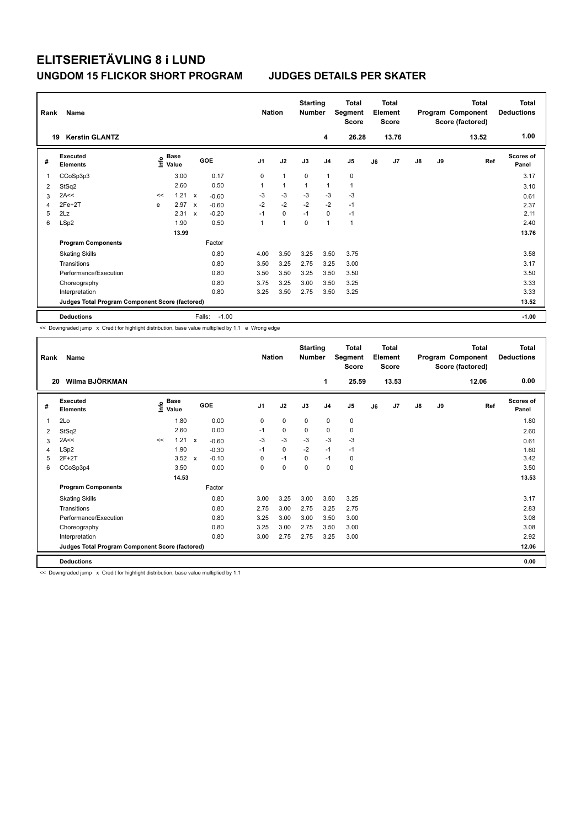| Rank<br>19 | Name<br><b>Kerstin GLANTZ</b>                   |    |                                  |                           |                   | <b>Nation</b>  |              | <b>Starting</b><br><b>Number</b> | 4              | <b>Total</b><br>Segment<br><b>Score</b><br>26.28 |    | <b>Total</b><br>Element<br><b>Score</b><br>13.76 |               |    | <b>Total</b><br>Program Component<br>Score (factored)<br>13.52 | <b>Total</b><br><b>Deductions</b><br>1.00 |
|------------|-------------------------------------------------|----|----------------------------------|---------------------------|-------------------|----------------|--------------|----------------------------------|----------------|--------------------------------------------------|----|--------------------------------------------------|---------------|----|----------------------------------------------------------------|-------------------------------------------|
| #          | Executed<br><b>Elements</b>                     |    | <b>Base</b><br>e Base<br>⊆ Value |                           | GOE               | J <sub>1</sub> | J2           | J3                               | J <sub>4</sub> | J <sub>5</sub>                                   | J6 | J7                                               | $\mathsf{J}8$ | J9 | Ref                                                            | Scores of<br>Panel                        |
| 1          | CCoSp3p3                                        |    | 3.00                             |                           | 0.17              | 0              | $\mathbf{1}$ | $\mathbf 0$                      | $\overline{1}$ | $\pmb{0}$                                        |    |                                                  |               |    |                                                                | 3.17                                      |
| 2          | StSq2                                           |    | 2.60                             |                           | 0.50              | 1              | $\mathbf{1}$ | 1                                | $\overline{1}$ | $\mathbf{1}$                                     |    |                                                  |               |    |                                                                | 3.10                                      |
| 3          | 2A<<                                            | << | 1.21                             | $\mathsf{x}$              | $-0.60$           | $-3$           | $-3$         | $-3$                             | $-3$           | $-3$                                             |    |                                                  |               |    |                                                                | 0.61                                      |
| 4          | 2Fe+2T                                          | e  | 2.97                             | $\boldsymbol{\mathsf{x}}$ | $-0.60$           | $-2$           | $-2$         | $-2$                             | $-2$           | $-1$                                             |    |                                                  |               |    |                                                                | 2.37                                      |
| 5          | 2Lz                                             |    | 2.31                             | $\boldsymbol{\mathsf{x}}$ | $-0.20$           | $-1$           | $\mathbf 0$  | $-1$                             | $\mathbf 0$    | $-1$                                             |    |                                                  |               |    |                                                                | 2.11                                      |
| 6          | LSp2                                            |    | 1.90                             |                           | 0.50              | 1              | 1            | 0                                | $\overline{1}$ | $\mathbf{1}$                                     |    |                                                  |               |    |                                                                | 2.40                                      |
|            |                                                 |    | 13.99                            |                           |                   |                |              |                                  |                |                                                  |    |                                                  |               |    |                                                                | 13.76                                     |
|            | <b>Program Components</b>                       |    |                                  |                           | Factor            |                |              |                                  |                |                                                  |    |                                                  |               |    |                                                                |                                           |
|            | <b>Skating Skills</b>                           |    |                                  |                           | 0.80              | 4.00           | 3.50         | 3.25                             | 3.50           | 3.75                                             |    |                                                  |               |    |                                                                | 3.58                                      |
|            | Transitions                                     |    |                                  |                           | 0.80              | 3.50           | 3.25         | 2.75                             | 3.25           | 3.00                                             |    |                                                  |               |    |                                                                | 3.17                                      |
|            | Performance/Execution                           |    |                                  |                           | 0.80              | 3.50           | 3.50         | 3.25                             | 3.50           | 3.50                                             |    |                                                  |               |    |                                                                | 3.50                                      |
|            | Choreography                                    |    |                                  |                           | 0.80              | 3.75           | 3.25         | 3.00                             | 3.50           | 3.25                                             |    |                                                  |               |    |                                                                | 3.33                                      |
|            | Interpretation                                  |    |                                  |                           | 0.80              | 3.25           | 3.50         | 2.75                             | 3.50           | 3.25                                             |    |                                                  |               |    |                                                                | 3.33                                      |
|            | Judges Total Program Component Score (factored) |    |                                  |                           |                   |                |              |                                  |                |                                                  |    |                                                  |               |    |                                                                | 13.52                                     |
|            | <b>Deductions</b>                               |    |                                  |                           | $-1.00$<br>Falls: |                |              |                                  |                |                                                  |    |                                                  |               |    |                                                                | $-1.00$                                   |

<< Downgraded jump x Credit for highlight distribution, base value multiplied by 1.1 e Wrong edge

| Rank | Name                                            |    |                                  |              |            | <b>Nation</b>  |      | <b>Starting</b><br><b>Number</b> |                | Total<br>Segment<br><b>Score</b> |    | <b>Total</b><br>Element<br><b>Score</b> |               |    | <b>Total</b><br>Program Component<br>Score (factored) | <b>Total</b><br><b>Deductions</b> |
|------|-------------------------------------------------|----|----------------------------------|--------------|------------|----------------|------|----------------------------------|----------------|----------------------------------|----|-----------------------------------------|---------------|----|-------------------------------------------------------|-----------------------------------|
| 20   | Wilma BJÖRKMAN                                  |    |                                  |              |            |                |      |                                  | 1              | 25.59                            |    | 13.53                                   |               |    | 12.06                                                 | 0.00                              |
| #    | Executed<br><b>Elements</b>                     |    | <b>Base</b><br>e Base<br>⊆ Value |              | <b>GOE</b> | J <sub>1</sub> | J2   | J3                               | J <sub>4</sub> | J <sub>5</sub>                   | J6 | J7                                      | $\mathsf{J}8$ | J9 | Ref                                                   | Scores of<br>Panel                |
| 1    | 2Lo                                             |    | 1.80                             |              | 0.00       | 0              | 0    | $\mathbf 0$                      | $\mathbf 0$    | 0                                |    |                                         |               |    |                                                       | 1.80                              |
| 2    | StSq2                                           |    | 2.60                             |              | 0.00       | $-1$           | 0    | $\mathbf 0$                      | $\mathbf 0$    | 0                                |    |                                         |               |    |                                                       | 2.60                              |
| 3    | 2A<<                                            | << | 1.21                             | $\mathsf{x}$ | $-0.60$    | $-3$           | $-3$ | $-3$                             | $-3$           | $-3$                             |    |                                         |               |    |                                                       | 0.61                              |
| 4    | LSp2                                            |    | 1.90                             |              | $-0.30$    | $-1$           | 0    | $-2$                             | $-1$           | $-1$                             |    |                                         |               |    |                                                       | 1.60                              |
| 5    | $2F+2T$                                         |    | 3.52                             | $\mathsf{x}$ | $-0.10$    | 0              | $-1$ | $\mathbf 0$                      | $-1$           | 0                                |    |                                         |               |    |                                                       | 3.42                              |
| 6    | CCoSp3p4                                        |    | 3.50                             |              | 0.00       | 0              | 0    | 0                                | 0              | $\pmb{0}$                        |    |                                         |               |    |                                                       | 3.50                              |
|      |                                                 |    | 14.53                            |              |            |                |      |                                  |                |                                  |    |                                         |               |    |                                                       | 13.53                             |
|      | <b>Program Components</b>                       |    |                                  |              | Factor     |                |      |                                  |                |                                  |    |                                         |               |    |                                                       |                                   |
|      | <b>Skating Skills</b>                           |    |                                  |              | 0.80       | 3.00           | 3.25 | 3.00                             | 3.50           | 3.25                             |    |                                         |               |    |                                                       | 3.17                              |
|      | Transitions                                     |    |                                  |              | 0.80       | 2.75           | 3.00 | 2.75                             | 3.25           | 2.75                             |    |                                         |               |    |                                                       | 2.83                              |
|      | Performance/Execution                           |    |                                  |              | 0.80       | 3.25           | 3.00 | 3.00                             | 3.50           | 3.00                             |    |                                         |               |    |                                                       | 3.08                              |
|      | Choreography                                    |    |                                  |              | 0.80       | 3.25           | 3.00 | 2.75                             | 3.50           | 3.00                             |    |                                         |               |    |                                                       | 3.08                              |
|      | Interpretation                                  |    |                                  |              | 0.80       | 3.00           | 2.75 | 2.75                             | 3.25           | 3.00                             |    |                                         |               |    |                                                       | 2.92                              |
|      | Judges Total Program Component Score (factored) |    |                                  |              |            |                |      |                                  |                |                                  |    |                                         |               |    |                                                       | 12.06                             |
|      | <b>Deductions</b>                               |    |                                  |              |            |                |      |                                  |                |                                  |    |                                         |               |    |                                                       | 0.00                              |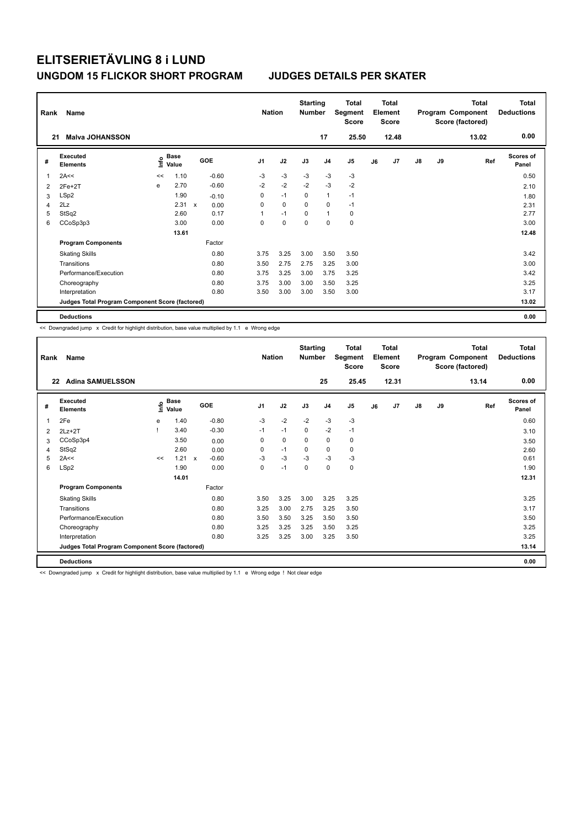| Rank | Name                                            |      |               |              |            | <b>Nation</b>  |             | <b>Starting</b><br>Number |                | <b>Total</b><br>Segment<br><b>Score</b> |    | <b>Total</b><br>Element<br><b>Score</b> |               |    | <b>Total</b><br>Program Component<br>Score (factored) | Total<br><b>Deductions</b> |
|------|-------------------------------------------------|------|---------------|--------------|------------|----------------|-------------|---------------------------|----------------|-----------------------------------------|----|-----------------------------------------|---------------|----|-------------------------------------------------------|----------------------------|
| 21   | <b>Malva JOHANSSON</b>                          |      |               |              |            |                |             |                           | 17             | 25.50                                   |    | 12.48                                   |               |    | 13.02                                                 | 0.00                       |
| #    | Executed<br><b>Elements</b>                     | lnfo | Base<br>Value |              | <b>GOE</b> | J <sub>1</sub> | J2          | J3                        | J <sub>4</sub> | J5                                      | J6 | J <sub>7</sub>                          | $\mathsf{J}8$ | J9 | Ref                                                   | <b>Scores of</b><br>Panel  |
| 1    | 2A<<                                            | <<   | 1.10          |              | $-0.60$    | -3             | $-3$        | -3                        | $-3$           | $-3$                                    |    |                                         |               |    |                                                       | 0.50                       |
| 2    | $2Fe+2T$                                        | e    | 2.70          |              | $-0.60$    | $-2$           | $-2$        | $-2$                      | $-3$           | $-2$                                    |    |                                         |               |    |                                                       | 2.10                       |
| 3    | LSp2                                            |      | 1.90          |              | $-0.10$    | 0              | $-1$        | 0                         | $\mathbf{1}$   | $-1$                                    |    |                                         |               |    |                                                       | 1.80                       |
| 4    | 2Lz                                             |      | 2.31          | $\mathsf{x}$ | 0.00       | 0              | $\mathbf 0$ | $\mathbf 0$               | $\mathbf 0$    | $-1$                                    |    |                                         |               |    |                                                       | 2.31                       |
| 5    | StSq2                                           |      | 2.60          |              | 0.17       | 1              | $-1$        | 0                         | $\mathbf{1}$   | 0                                       |    |                                         |               |    |                                                       | 2.77                       |
| 6    | CCoSp3p3                                        |      | 3.00          |              | 0.00       | 0              | $\mathbf 0$ | $\mathbf 0$               | $\mathbf 0$    | $\mathbf 0$                             |    |                                         |               |    |                                                       | 3.00                       |
|      |                                                 |      | 13.61         |              |            |                |             |                           |                |                                         |    |                                         |               |    |                                                       | 12.48                      |
|      | <b>Program Components</b>                       |      |               |              | Factor     |                |             |                           |                |                                         |    |                                         |               |    |                                                       |                            |
|      | <b>Skating Skills</b>                           |      |               |              | 0.80       | 3.75           | 3.25        | 3.00                      | 3.50           | 3.50                                    |    |                                         |               |    |                                                       | 3.42                       |
|      | Transitions                                     |      |               |              | 0.80       | 3.50           | 2.75        | 2.75                      | 3.25           | 3.00                                    |    |                                         |               |    |                                                       | 3.00                       |
|      | Performance/Execution                           |      |               |              | 0.80       | 3.75           | 3.25        | 3.00                      | 3.75           | 3.25                                    |    |                                         |               |    |                                                       | 3.42                       |
|      | Choreography                                    |      |               |              | 0.80       | 3.75           | 3.00        | 3.00                      | 3.50           | 3.25                                    |    |                                         |               |    |                                                       | 3.25                       |
|      | Interpretation                                  |      |               |              | 0.80       | 3.50           | 3.00        | 3.00                      | 3.50           | 3.00                                    |    |                                         |               |    |                                                       | 3.17                       |
|      | Judges Total Program Component Score (factored) |      |               |              |            |                |             |                           |                |                                         |    |                                         |               |    |                                                       | 13.02                      |
|      | <b>Deductions</b>                               |      |               |              |            |                |             |                           |                |                                         |    |                                         |               |    |                                                       | 0.00                       |

<< Downgraded jump x Credit for highlight distribution, base value multiplied by 1.1 e Wrong edge

| Rank | Name                                            |    |                      |                         |                | <b>Nation</b> |      | <b>Starting</b><br><b>Number</b> |                | <b>Total</b><br>Segment<br><b>Score</b> |    | Total<br>Element<br><b>Score</b> |               |    | <b>Total</b><br>Program Component<br>Score (factored) | <b>Total</b><br><b>Deductions</b> |
|------|-------------------------------------------------|----|----------------------|-------------------------|----------------|---------------|------|----------------------------------|----------------|-----------------------------------------|----|----------------------------------|---------------|----|-------------------------------------------------------|-----------------------------------|
| 22   | <b>Adina SAMUELSSON</b>                         |    |                      |                         |                |               |      |                                  | 25             | 25.45                                   |    | 12.31                            |               |    | 13.14                                                 | 0.00                              |
| #    | Executed<br><b>Elements</b>                     | ۴  | <b>Base</b><br>Value | GOE                     | J <sub>1</sub> |               | J2   | J3                               | J <sub>4</sub> | J5                                      | J6 | J7                               | $\mathsf{J}8$ | J9 | Ref                                                   | Scores of<br>Panel                |
| 1    | 2Fe                                             | е  | 1.40                 | $-0.80$                 |                | $-3$          | $-2$ | $-2$                             | $-3$           | $-3$                                    |    |                                  |               |    |                                                       | 0.60                              |
| 2    | $2Lz+2T$                                        |    | 3.40                 | $-0.30$                 |                | $-1$          | $-1$ | $\Omega$                         | $-2$           | $-1$                                    |    |                                  |               |    |                                                       | 3.10                              |
| 3    | CCoSp3p4                                        |    | 3.50                 | 0.00                    |                | 0             | 0    | 0                                | 0              | 0                                       |    |                                  |               |    |                                                       | 3.50                              |
| 4    | StSq2                                           |    | 2.60                 | 0.00                    |                | 0             | $-1$ | $\Omega$                         | 0              | 0                                       |    |                                  |               |    |                                                       | 2.60                              |
| 5    | 2A<<                                            | << | 1.21                 | $-0.60$<br>$\mathsf{x}$ |                | $-3$          | $-3$ | $-3$                             | $-3$           | $-3$                                    |    |                                  |               |    |                                                       | 0.61                              |
| 6    | LSp2                                            |    | 1.90                 | 0.00                    |                | 0             | $-1$ | $\Omega$                         | $\mathbf 0$    | 0                                       |    |                                  |               |    |                                                       | 1.90                              |
|      |                                                 |    | 14.01                |                         |                |               |      |                                  |                |                                         |    |                                  |               |    |                                                       | 12.31                             |
|      | <b>Program Components</b>                       |    |                      | Factor                  |                |               |      |                                  |                |                                         |    |                                  |               |    |                                                       |                                   |
|      | <b>Skating Skills</b>                           |    |                      | 0.80                    |                | 3.50          | 3.25 | 3.00                             | 3.25           | 3.25                                    |    |                                  |               |    |                                                       | 3.25                              |
|      | Transitions                                     |    |                      | 0.80                    |                | 3.25          | 3.00 | 2.75                             | 3.25           | 3.50                                    |    |                                  |               |    |                                                       | 3.17                              |
|      | Performance/Execution                           |    |                      | 0.80                    |                | 3.50          | 3.50 | 3.25                             | 3.50           | 3.50                                    |    |                                  |               |    |                                                       | 3.50                              |
|      | Choreography                                    |    |                      | 0.80                    |                | 3.25          | 3.25 | 3.25                             | 3.50           | 3.25                                    |    |                                  |               |    |                                                       | 3.25                              |
|      | Interpretation                                  |    |                      | 0.80                    |                | 3.25          | 3.25 | 3.00                             | 3.25           | 3.50                                    |    |                                  |               |    |                                                       | 3.25                              |
|      | Judges Total Program Component Score (factored) |    |                      |                         |                |               |      |                                  |                |                                         |    |                                  |               |    |                                                       | 13.14                             |
|      | <b>Deductions</b>                               |    |                      |                         |                |               |      |                                  |                |                                         |    |                                  |               |    |                                                       | 0.00                              |

<< Downgraded jump x Credit for highlight distribution, base value multiplied by 1.1 e Wrong edge ! Not clear edge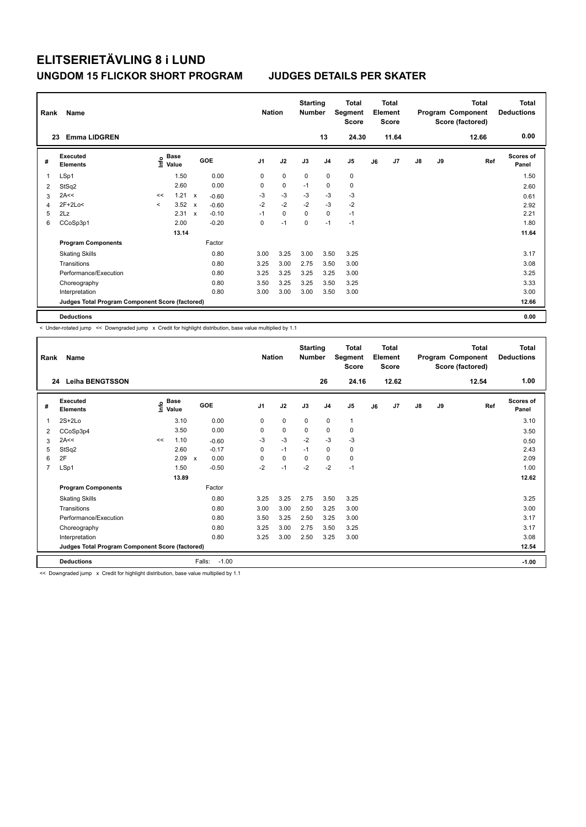| Rank | Name                                            |         |                      |                           |         | <b>Nation</b>  |             | <b>Starting</b><br><b>Number</b> |                | Total<br>Segment<br><b>Score</b> |    | <b>Total</b><br>Element<br><b>Score</b> |               |    | <b>Total</b><br>Program Component<br>Score (factored) | <b>Total</b><br><b>Deductions</b> |
|------|-------------------------------------------------|---------|----------------------|---------------------------|---------|----------------|-------------|----------------------------------|----------------|----------------------------------|----|-----------------------------------------|---------------|----|-------------------------------------------------------|-----------------------------------|
|      | <b>Emma LIDGREN</b><br>23                       |         |                      |                           |         |                |             |                                  | 13             | 24.30                            |    | 11.64                                   |               |    | 12.66                                                 | 0.00                              |
| #    | Executed<br><b>Elements</b>                     | ١nf٥    | <b>Base</b><br>Value |                           | GOE     | J <sub>1</sub> | J2          | J3                               | J <sub>4</sub> | J <sub>5</sub>                   | J6 | J7                                      | $\mathsf{J}8$ | J9 | Ref                                                   | Scores of<br>Panel                |
| 1    | LSp1                                            |         | 1.50                 |                           | 0.00    | 0              | 0           | 0                                | 0              | 0                                |    |                                         |               |    |                                                       | 1.50                              |
| 2    | StSq2                                           |         | 2.60                 |                           | 0.00    | 0              | $\mathbf 0$ | $-1$                             | $\mathbf 0$    | $\mathbf 0$                      |    |                                         |               |    |                                                       | 2.60                              |
| 3    | 2A<<                                            | <<      | 1.21                 | $\boldsymbol{\mathsf{x}}$ | $-0.60$ | -3             | $-3$        | $-3$                             | $-3$           | $-3$                             |    |                                         |               |    |                                                       | 0.61                              |
| 4    | 2F+2Lo<                                         | $\prec$ | 3.52                 | $\boldsymbol{\mathsf{x}}$ | $-0.60$ | $-2$           | $-2$        | $-2$                             | $-3$           | $-2$                             |    |                                         |               |    |                                                       | 2.92                              |
| 5    | 2Lz                                             |         | 2.31                 | $\boldsymbol{\mathsf{x}}$ | $-0.10$ | $-1$           | $\mathbf 0$ | $\mathbf 0$                      | $\mathbf 0$    | $-1$                             |    |                                         |               |    |                                                       | 2.21                              |
| 6    | CCoSp3p1                                        |         | 2.00                 |                           | $-0.20$ | 0              | $-1$        | 0                                | $-1$           | $-1$                             |    |                                         |               |    |                                                       | 1.80                              |
|      |                                                 |         | 13.14                |                           |         |                |             |                                  |                |                                  |    |                                         |               |    |                                                       | 11.64                             |
|      | <b>Program Components</b>                       |         |                      |                           | Factor  |                |             |                                  |                |                                  |    |                                         |               |    |                                                       |                                   |
|      | <b>Skating Skills</b>                           |         |                      |                           | 0.80    | 3.00           | 3.25        | 3.00                             | 3.50           | 3.25                             |    |                                         |               |    |                                                       | 3.17                              |
|      | Transitions                                     |         |                      |                           | 0.80    | 3.25           | 3.00        | 2.75                             | 3.50           | 3.00                             |    |                                         |               |    |                                                       | 3.08                              |
|      | Performance/Execution                           |         |                      |                           | 0.80    | 3.25           | 3.25        | 3.25                             | 3.25           | 3.00                             |    |                                         |               |    |                                                       | 3.25                              |
|      | Choreography                                    |         |                      |                           | 0.80    | 3.50           | 3.25        | 3.25                             | 3.50           | 3.25                             |    |                                         |               |    |                                                       | 3.33                              |
|      | Interpretation                                  |         |                      |                           | 0.80    | 3.00           | 3.00        | 3.00                             | 3.50           | 3.00                             |    |                                         |               |    |                                                       | 3.00                              |
|      | Judges Total Program Component Score (factored) |         |                      |                           |         |                |             |                                  |                |                                  |    |                                         |               |    |                                                       | 12.66                             |
|      | <b>Deductions</b>                               |         |                      |                           |         |                |             |                                  |                |                                  |    |                                         |               |    |                                                       | 0.00                              |

< Under-rotated jump << Downgraded jump x Credit for highlight distribution, base value multiplied by 1.1

| Rank<br>24     | Name<br><b>Leiha BENGTSSON</b>                  |      |                      |                   | <b>Nation</b>  |             | <b>Starting</b><br><b>Number</b> | 26             | <b>Total</b><br>Segment<br><b>Score</b><br>24.16 |    | Total<br>Element<br><b>Score</b><br>12.62 |               |    | <b>Total</b><br>Program Component<br>Score (factored)<br>12.54 | <b>Total</b><br><b>Deductions</b><br>1.00 |
|----------------|-------------------------------------------------|------|----------------------|-------------------|----------------|-------------|----------------------------------|----------------|--------------------------------------------------|----|-------------------------------------------|---------------|----|----------------------------------------------------------------|-------------------------------------------|
|                |                                                 |      |                      |                   |                |             |                                  |                |                                                  |    |                                           |               |    |                                                                |                                           |
| #              | Executed<br><b>Elements</b>                     | ١nfo | <b>Base</b><br>Value | GOE               | J <sub>1</sub> | J2          | J3                               | J <sub>4</sub> | J5                                               | J6 | J7                                        | $\mathsf{J}8$ | J9 | Ref                                                            | Scores of<br>Panel                        |
| 1              | $2S+2Lo$                                        |      | 3.10                 | 0.00              | 0              | $\mathbf 0$ | 0                                | $\mathbf 0$    | 1                                                |    |                                           |               |    |                                                                | 3.10                                      |
| 2              | CCoSp3p4                                        |      | 3.50                 | 0.00              | $\Omega$       | $\mathbf 0$ | $\Omega$                         | $\mathbf 0$    | 0                                                |    |                                           |               |    |                                                                | 3.50                                      |
| 3              | 2A<<                                            | <<   | 1.10                 | $-0.60$           | $-3$           | -3          | $-2$                             | $-3$           | $-3$                                             |    |                                           |               |    |                                                                | 0.50                                      |
| 5              | StSq2                                           |      | 2.60                 | $-0.17$           | 0              | $-1$        | $-1$                             | 0              | 0                                                |    |                                           |               |    |                                                                | 2.43                                      |
| 6              | 2F                                              |      | 2.09<br>$\mathsf{x}$ | 0.00              | 0              | 0           | $\Omega$                         | 0              | 0                                                |    |                                           |               |    |                                                                | 2.09                                      |
| $\overline{7}$ | LSp1                                            |      | 1.50                 | $-0.50$           | $-2$           | $-1$        | $-2$                             | $-2$           | $-1$                                             |    |                                           |               |    |                                                                | 1.00                                      |
|                |                                                 |      | 13.89                |                   |                |             |                                  |                |                                                  |    |                                           |               |    |                                                                | 12.62                                     |
|                | <b>Program Components</b>                       |      |                      | Factor            |                |             |                                  |                |                                                  |    |                                           |               |    |                                                                |                                           |
|                | <b>Skating Skills</b>                           |      |                      | 0.80              | 3.25           | 3.25        | 2.75                             | 3.50           | 3.25                                             |    |                                           |               |    |                                                                | 3.25                                      |
|                | Transitions                                     |      |                      | 0.80              | 3.00           | 3.00        | 2.50                             | 3.25           | 3.00                                             |    |                                           |               |    |                                                                | 3.00                                      |
|                | Performance/Execution                           |      |                      | 0.80              | 3.50           | 3.25        | 2.50                             | 3.25           | 3.00                                             |    |                                           |               |    |                                                                | 3.17                                      |
|                | Choreography                                    |      |                      | 0.80              | 3.25           | 3.00        | 2.75                             | 3.50           | 3.25                                             |    |                                           |               |    |                                                                | 3.17                                      |
|                | Interpretation                                  |      |                      | 0.80              | 3.25           | 3.00        | 2.50                             | 3.25           | 3.00                                             |    |                                           |               |    |                                                                | 3.08                                      |
|                | Judges Total Program Component Score (factored) |      |                      |                   |                |             |                                  |                |                                                  |    |                                           |               |    |                                                                | 12.54                                     |
|                | <b>Deductions</b>                               |      |                      | $-1.00$<br>Falls: |                |             |                                  |                |                                                  |    |                                           |               |    |                                                                | $-1.00$                                   |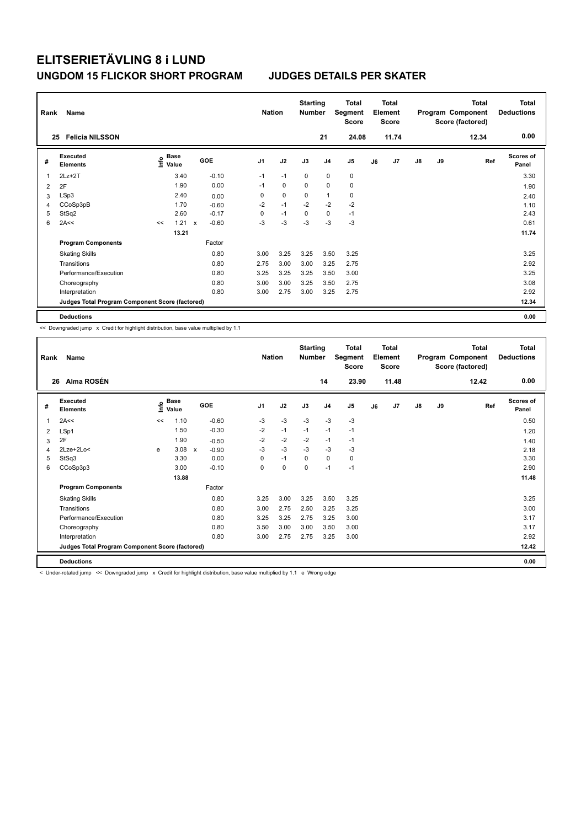| Rank | Name                                            |    | <b>Nation</b>             | <b>Starting</b><br><b>Number</b> |            | Total<br>Segment<br><b>Score</b> | <b>Total</b><br>Element<br><b>Score</b> |             |                |             | <b>Total</b><br>Program Component<br>Score (factored) | Total<br><b>Deductions</b> |               |    |       |                           |
|------|-------------------------------------------------|----|---------------------------|----------------------------------|------------|----------------------------------|-----------------------------------------|-------------|----------------|-------------|-------------------------------------------------------|----------------------------|---------------|----|-------|---------------------------|
|      | <b>Felicia NILSSON</b><br>25                    |    |                           |                                  |            |                                  |                                         |             | 21             | 24.08       |                                                       | 11.74                      |               |    | 12.34 | 0.00                      |
| #    | <b>Executed</b><br><b>Elements</b>              |    | Base<br>e Base<br>⊆ Value |                                  | <b>GOE</b> | J <sub>1</sub>                   | J2                                      | J3          | J <sub>4</sub> | J5          | J6                                                    | J7                         | $\mathsf{J}8$ | J9 | Ref   | <b>Scores of</b><br>Panel |
| 1    | $2Lz + 2T$                                      |    | 3.40                      |                                  | $-0.10$    | $-1$                             | $-1$                                    | $\mathbf 0$ | $\mathbf 0$    | $\pmb{0}$   |                                                       |                            |               |    |       | 3.30                      |
| 2    | 2F                                              |    | 1.90                      |                                  | 0.00       | $-1$                             | 0                                       | $\Omega$    | $\mathbf 0$    | $\mathbf 0$ |                                                       |                            |               |    |       | 1.90                      |
| 3    | LSp3                                            |    | 2.40                      |                                  | 0.00       | 0                                | $\mathbf 0$                             | 0           | $\overline{1}$ | 0           |                                                       |                            |               |    |       | 2.40                      |
| 4    | CCoSp3pB                                        |    | 1.70                      |                                  | $-0.60$    | $-2$                             | $-1$                                    | $-2$        | $-2$           | $-2$        |                                                       |                            |               |    |       | 1.10                      |
| 5    | StSq2                                           |    | 2.60                      |                                  | $-0.17$    | 0                                | $-1$                                    | 0           | $\mathbf 0$    | $-1$        |                                                       |                            |               |    |       | 2.43                      |
| 6    | 2A<<                                            | << | 1.21                      | $\boldsymbol{\mathsf{x}}$        | $-0.60$    | $-3$                             | $-3$                                    | $-3$        | $-3$           | $-3$        |                                                       |                            |               |    |       | 0.61                      |
|      |                                                 |    | 13.21                     |                                  |            |                                  |                                         |             |                |             |                                                       |                            |               |    |       | 11.74                     |
|      | <b>Program Components</b>                       |    |                           |                                  | Factor     |                                  |                                         |             |                |             |                                                       |                            |               |    |       |                           |
|      | <b>Skating Skills</b>                           |    |                           |                                  | 0.80       | 3.00                             | 3.25                                    | 3.25        | 3.50           | 3.25        |                                                       |                            |               |    |       | 3.25                      |
|      | Transitions                                     |    |                           |                                  | 0.80       | 2.75                             | 3.00                                    | 3.00        | 3.25           | 2.75        |                                                       |                            |               |    |       | 2.92                      |
|      | Performance/Execution                           |    |                           |                                  | 0.80       | 3.25                             | 3.25                                    | 3.25        | 3.50           | 3.00        |                                                       |                            |               |    |       | 3.25                      |
|      | Choreography                                    |    |                           |                                  | 0.80       | 3.00                             | 3.00                                    | 3.25        | 3.50           | 2.75        |                                                       |                            |               |    |       | 3.08                      |
|      | Interpretation                                  |    |                           |                                  | 0.80       | 3.00                             | 2.75                                    | 3.00        | 3.25           | 2.75        |                                                       |                            |               |    |       | 2.92                      |
|      | Judges Total Program Component Score (factored) |    |                           |                                  |            |                                  |                                         |             |                |             |                                                       |                            |               |    |       | 12.34                     |
|      | <b>Deductions</b>                               |    |                           |                                  |            |                                  |                                         |             |                |             |                                                       |                            |               |    |       | 0.00                      |

<< Downgraded jump x Credit for highlight distribution, base value multiplied by 1.1

| Rank | Name                                            |      | <b>Nation</b>        | <b>Starting</b><br><b>Number</b> |                | <b>Total</b><br><b>Total</b><br>Element<br>Segment<br>Score<br><b>Score</b> |      |                | Program Component<br>Score (factored) |    | Total | <b>Total</b><br><b>Deductions</b> |    |       |                    |
|------|-------------------------------------------------|------|----------------------|----------------------------------|----------------|-----------------------------------------------------------------------------|------|----------------|---------------------------------------|----|-------|-----------------------------------|----|-------|--------------------|
| 26   | Alma ROSÉN                                      |      |                      |                                  |                |                                                                             |      | 14             | 23.90                                 |    | 11.48 |                                   |    | 12.42 | 0.00               |
| #    | Executed<br><b>Elements</b>                     | ١nfo | <b>Base</b><br>Value | GOE                              | J <sub>1</sub> | J2                                                                          | J3   | J <sub>4</sub> | J5                                    | J6 | J7    | J8                                | J9 | Ref   | Scores of<br>Panel |
| 1    | 2A<<                                            | <<   | 1.10                 | $-0.60$                          | $-3$           | $-3$                                                                        | $-3$ | $-3$           | $-3$                                  |    |       |                                   |    |       | 0.50               |
| 2    | LSp1                                            |      | 1.50                 | $-0.30$                          | $-2$           | $-1$                                                                        | $-1$ | $-1$           | $-1$                                  |    |       |                                   |    |       | 1.20               |
| 3    | 2F                                              |      | 1.90                 | $-0.50$                          | $-2$           | $-2$                                                                        | $-2$ | $-1$           | $-1$                                  |    |       |                                   |    |       | 1.40               |
| 4    | 2Lze+2Lo<                                       | e    | 3.08                 | $-0.90$<br>$\mathsf{x}$          | $-3$           | $-3$                                                                        | $-3$ | $-3$           | $-3$                                  |    |       |                                   |    |       | 2.18               |
| 5    | StSq3                                           |      | 3.30                 | 0.00                             | 0              | $-1$                                                                        | 0    | 0              | 0                                     |    |       |                                   |    |       | 3.30               |
| 6    | CCoSp3p3                                        |      | 3.00                 | $-0.10$                          | 0              | 0                                                                           | 0    | $-1$           | $-1$                                  |    |       |                                   |    |       | 2.90               |
|      |                                                 |      | 13.88                |                                  |                |                                                                             |      |                |                                       |    |       |                                   |    |       | 11.48              |
|      | <b>Program Components</b>                       |      |                      | Factor                           |                |                                                                             |      |                |                                       |    |       |                                   |    |       |                    |
|      | <b>Skating Skills</b>                           |      |                      | 0.80                             | 3.25           | 3.00                                                                        | 3.25 | 3.50           | 3.25                                  |    |       |                                   |    |       | 3.25               |
|      | Transitions                                     |      |                      | 0.80                             | 3.00           | 2.75                                                                        | 2.50 | 3.25           | 3.25                                  |    |       |                                   |    |       | 3.00               |
|      | Performance/Execution                           |      |                      | 0.80                             | 3.25           | 3.25                                                                        | 2.75 | 3.25           | 3.00                                  |    |       |                                   |    |       | 3.17               |
|      | Choreography                                    |      |                      | 0.80                             | 3.50           | 3.00                                                                        | 3.00 | 3.50           | 3.00                                  |    |       |                                   |    |       | 3.17               |
|      | Interpretation                                  |      |                      | 0.80                             | 3.00           | 2.75                                                                        | 2.75 | 3.25           | 3.00                                  |    |       |                                   |    |       | 2.92               |
|      | Judges Total Program Component Score (factored) |      |                      |                                  |                |                                                                             |      |                |                                       |    |       |                                   |    |       | 12.42              |
|      | <b>Deductions</b>                               |      |                      |                                  |                |                                                                             |      |                |                                       |    |       |                                   |    |       | 0.00               |

< Under-rotated jump << Downgraded jump x Credit for highlight distribution, base value multiplied by 1.1 e Wrong edge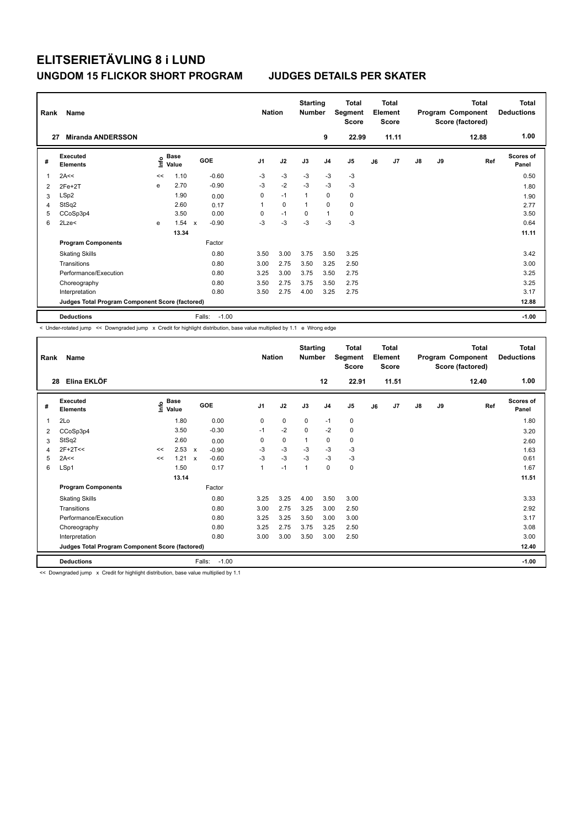| Rank | Name                                            | <b>Nation</b> |                      | <b>Starting</b><br><b>Total</b><br>Segment<br><b>Number</b><br><b>Score</b> |         | <b>Total</b><br>Element<br><b>Score</b> |             |      |                | <b>Total</b><br>Program Component<br>Score (factored) | <b>Total</b><br><b>Deductions</b> |       |               |    |       |                    |
|------|-------------------------------------------------|---------------|----------------------|-----------------------------------------------------------------------------|---------|-----------------------------------------|-------------|------|----------------|-------------------------------------------------------|-----------------------------------|-------|---------------|----|-------|--------------------|
| 27   | <b>Miranda ANDERSSON</b>                        |               |                      |                                                                             |         |                                         |             |      | 9              | 22.99                                                 |                                   | 11.11 |               |    | 12.88 | 1.00               |
| #    | Executed<br><b>Elements</b>                     | ١nf٥          | <b>Base</b><br>Value | GOE                                                                         |         | J <sub>1</sub>                          | J2          | J3   | J <sub>4</sub> | J <sub>5</sub>                                        | J6                                | J7    | $\mathsf{J}8$ | J9 | Ref   | Scores of<br>Panel |
| 1    | 2A<<                                            | <<            | 1.10                 |                                                                             | $-0.60$ | $-3$                                    | $-3$        | $-3$ | $-3$           | $-3$                                                  |                                   |       |               |    |       | 0.50               |
| 2    | $2Fe+2T$                                        | e             | 2.70                 |                                                                             | $-0.90$ | -3                                      | $-2$        | $-3$ | $-3$           | $-3$                                                  |                                   |       |               |    |       | 1.80               |
| 3    | LSp2                                            |               | 1.90                 |                                                                             | 0.00    | 0                                       | $-1$        | 1    | 0              | 0                                                     |                                   |       |               |    |       | 1.90               |
| 4    | StSq2                                           |               | 2.60                 |                                                                             | 0.17    | 1                                       | $\mathbf 0$ |      | $\Omega$       | $\mathbf 0$                                           |                                   |       |               |    |       | 2.77               |
| 5    | CCoSp3p4                                        |               | 3.50                 |                                                                             | 0.00    | 0                                       | $-1$        | 0    | $\mathbf{1}$   | 0                                                     |                                   |       |               |    |       | 3.50               |
| 6    | 2Lze<                                           | e             | 1.54                 | $\boldsymbol{\mathsf{x}}$                                                   | $-0.90$ | $-3$                                    | $-3$        | $-3$ | $-3$           | $-3$                                                  |                                   |       |               |    |       | 0.64               |
|      |                                                 |               | 13.34                |                                                                             |         |                                         |             |      |                |                                                       |                                   |       |               |    |       | 11.11              |
|      | <b>Program Components</b>                       |               |                      |                                                                             | Factor  |                                         |             |      |                |                                                       |                                   |       |               |    |       |                    |
|      | <b>Skating Skills</b>                           |               |                      |                                                                             | 0.80    | 3.50                                    | 3.00        | 3.75 | 3.50           | 3.25                                                  |                                   |       |               |    |       | 3.42               |
|      | Transitions                                     |               |                      |                                                                             | 0.80    | 3.00                                    | 2.75        | 3.50 | 3.25           | 2.50                                                  |                                   |       |               |    |       | 3.00               |
|      | Performance/Execution                           |               |                      |                                                                             | 0.80    | 3.25                                    | 3.00        | 3.75 | 3.50           | 2.75                                                  |                                   |       |               |    |       | 3.25               |
|      | Choreography                                    |               |                      |                                                                             | 0.80    | 3.50                                    | 2.75        | 3.75 | 3.50           | 2.75                                                  |                                   |       |               |    |       | 3.25               |
|      | Interpretation                                  |               |                      |                                                                             | 0.80    | 3.50                                    | 2.75        | 4.00 | 3.25           | 2.75                                                  |                                   |       |               |    |       | 3.17               |
|      | Judges Total Program Component Score (factored) |               |                      |                                                                             |         |                                         |             |      |                |                                                       |                                   |       |               |    |       | 12.88              |
|      | <b>Deductions</b>                               |               |                      | Falls:                                                                      | $-1.00$ |                                         |             |      |                |                                                       |                                   |       |               |    |       | $-1.00$            |

< Under-rotated jump << Downgraded jump x Credit for highlight distribution, base value multiplied by 1.1 e Wrong edge

| Rank<br>28 | Name<br>Elina EKLÖF                             |      | <b>Nation</b>        | <b>Starting</b><br><b>Number</b> | <b>Total</b><br>Segment<br><b>Score</b><br>12<br>22.91 |             | Total<br>Element<br><b>Score</b><br>11.51 |                |      |    | <b>Total</b><br>Program Component<br>Score (factored)<br>12.40 | <b>Total</b><br><b>Deductions</b><br>1.00 |    |     |                           |
|------------|-------------------------------------------------|------|----------------------|----------------------------------|--------------------------------------------------------|-------------|-------------------------------------------|----------------|------|----|----------------------------------------------------------------|-------------------------------------------|----|-----|---------------------------|
|            |                                                 |      |                      |                                  |                                                        |             |                                           |                |      |    |                                                                |                                           |    |     |                           |
| #          | Executed<br><b>Elements</b>                     | ١nfo | <b>Base</b><br>Value | <b>GOE</b>                       | J <sub>1</sub>                                         | J2          | J3                                        | J <sub>4</sub> | J5   | J6 | J7                                                             | $\mathsf{J}8$                             | J9 | Ref | <b>Scores of</b><br>Panel |
| 1          | 2Lo                                             |      | 1.80                 | 0.00                             | 0                                                      | 0           | 0                                         | $-1$           | 0    |    |                                                                |                                           |    |     | 1.80                      |
| 2          | CCoSp3p4                                        |      | 3.50                 | $-0.30$                          | $-1$                                                   | $-2$        | $\Omega$                                  | $-2$           | 0    |    |                                                                |                                           |    |     | 3.20                      |
| 3          | StSq2                                           |      | 2.60                 | 0.00                             | 0                                                      | $\mathbf 0$ | 1                                         | 0              | 0    |    |                                                                |                                           |    |     | 2.60                      |
| 4          | $2F+2T<<$                                       | <<   | 2.53                 | $\mathsf{x}$<br>$-0.90$          | $-3$                                                   | $-3$        | $-3$                                      | $-3$           | $-3$ |    |                                                                |                                           |    |     | 1.63                      |
| 5          | 2A<<                                            | <<   | 1.21                 | $-0.60$<br>$\mathsf{x}$          | $-3$                                                   | $-3$        | $-3$                                      | $-3$           | $-3$ |    |                                                                |                                           |    |     | 0.61                      |
| 6          | LSp1                                            |      | 1.50                 | 0.17                             | 1                                                      | $-1$        | 1                                         | $\mathbf 0$    | 0    |    |                                                                |                                           |    |     | 1.67                      |
|            |                                                 |      | 13.14                |                                  |                                                        |             |                                           |                |      |    |                                                                |                                           |    |     | 11.51                     |
|            | <b>Program Components</b>                       |      |                      | Factor                           |                                                        |             |                                           |                |      |    |                                                                |                                           |    |     |                           |
|            | <b>Skating Skills</b>                           |      |                      | 0.80                             | 3.25                                                   | 3.25        | 4.00                                      | 3.50           | 3.00 |    |                                                                |                                           |    |     | 3.33                      |
|            | Transitions                                     |      |                      | 0.80                             | 3.00                                                   | 2.75        | 3.25                                      | 3.00           | 2.50 |    |                                                                |                                           |    |     | 2.92                      |
|            | Performance/Execution                           |      |                      | 0.80                             | 3.25                                                   | 3.25        | 3.50                                      | 3.00           | 3.00 |    |                                                                |                                           |    |     | 3.17                      |
|            | Choreography                                    |      |                      | 0.80                             | 3.25                                                   | 2.75        | 3.75                                      | 3.25           | 2.50 |    |                                                                |                                           |    |     | 3.08                      |
|            | Interpretation                                  |      |                      | 0.80                             | 3.00                                                   | 3.00        | 3.50                                      | 3.00           | 2.50 |    |                                                                |                                           |    |     | 3.00                      |
|            | Judges Total Program Component Score (factored) |      |                      |                                  |                                                        |             |                                           |                |      |    |                                                                |                                           |    |     | 12.40                     |
|            | <b>Deductions</b>                               |      |                      | $-1.00$<br>Falls:                |                                                        |             |                                           |                |      |    |                                                                |                                           |    |     | $-1.00$                   |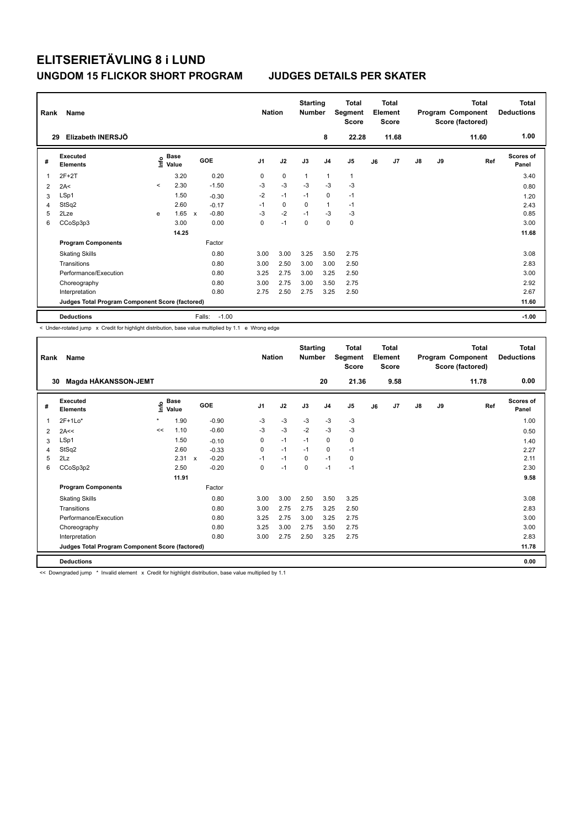| Rank<br>29 | Name<br>Elizabeth INERSJÖ                       |         | <b>Nation</b>        | <b>Starting</b><br><b>Number</b> | 8              | <b>Total</b><br>Segment<br><b>Score</b><br>22.28 |              | <b>Total</b><br>Element<br><b>Score</b><br>11.68 |                |    | <b>Total</b><br>Program Component<br>Score (factored)<br>11.60 | Total<br><b>Deductions</b><br>1.00 |    |     |                    |
|------------|-------------------------------------------------|---------|----------------------|----------------------------------|----------------|--------------------------------------------------|--------------|--------------------------------------------------|----------------|----|----------------------------------------------------------------|------------------------------------|----|-----|--------------------|
| #          | Executed<br><b>Elements</b>                     | ١nfo    | <b>Base</b><br>Value | GOE                              | J <sub>1</sub> | J2                                               | J3           | J <sub>4</sub>                                   | J <sub>5</sub> | J6 | J <sub>7</sub>                                                 | $\mathsf{J}8$                      | J9 | Ref | Scores of<br>Panel |
| 1          | $2F+2T$                                         |         | 3.20                 | 0.20                             | 0              | $\pmb{0}$                                        | $\mathbf{1}$ | $\mathbf{1}$                                     | $\mathbf{1}$   |    |                                                                |                                    |    |     | 3.40               |
| 2          | 2A<                                             | $\prec$ | 2.30                 | $-1.50$                          | $-3$           | $-3$                                             | $-3$         | $-3$                                             | $-3$           |    |                                                                |                                    |    |     | 0.80               |
| 3          | LSp1                                            |         | 1.50                 | $-0.30$                          | $-2$           | $-1$                                             | $-1$         | $\mathbf 0$                                      | $-1$           |    |                                                                |                                    |    |     | 1.20               |
| 4          | StSq2                                           |         | 2.60                 | $-0.17$                          | $-1$           | $\mathbf 0$                                      | $\Omega$     | $\mathbf{1}$                                     | $-1$           |    |                                                                |                                    |    |     | 2.43               |
| 5          | 2Lze                                            | e       | 1.65                 | $-0.80$<br>$\mathsf{x}$          | $-3$           | $-2$                                             | $-1$         | $-3$                                             | $-3$           |    |                                                                |                                    |    |     | 0.85               |
| 6          | CCoSp3p3                                        |         | 3.00                 | 0.00                             | 0              | $-1$                                             | 0            | $\mathbf 0$                                      | $\mathbf 0$    |    |                                                                |                                    |    |     | 3.00               |
|            |                                                 |         | 14.25                |                                  |                |                                                  |              |                                                  |                |    |                                                                |                                    |    |     | 11.68              |
|            | <b>Program Components</b>                       |         |                      | Factor                           |                |                                                  |              |                                                  |                |    |                                                                |                                    |    |     |                    |
|            | <b>Skating Skills</b>                           |         |                      | 0.80                             | 3.00           | 3.00                                             | 3.25         | 3.50                                             | 2.75           |    |                                                                |                                    |    |     | 3.08               |
|            | Transitions                                     |         |                      | 0.80                             | 3.00           | 2.50                                             | 3.00         | 3.00                                             | 2.50           |    |                                                                |                                    |    |     | 2.83               |
|            | Performance/Execution                           |         |                      | 0.80                             | 3.25           | 2.75                                             | 3.00         | 3.25                                             | 2.50           |    |                                                                |                                    |    |     | 3.00               |
|            | Choreography                                    |         |                      | 0.80                             | 3.00           | 2.75                                             | 3.00         | 3.50                                             | 2.75           |    |                                                                |                                    |    |     | 2.92               |
|            | Interpretation                                  |         |                      | 0.80                             | 2.75           | 2.50                                             | 2.75         | 3.25                                             | 2.50           |    |                                                                |                                    |    |     | 2.67               |
|            | Judges Total Program Component Score (factored) |         |                      |                                  |                |                                                  |              |                                                  |                |    |                                                                |                                    |    |     | 11.60              |
|            | <b>Deductions</b>                               |         |                      | $-1.00$<br>Falls:                |                |                                                  |              |                                                  |                |    |                                                                |                                    |    |     | $-1.00$            |

< Under-rotated jump x Credit for highlight distribution, base value multiplied by 1.1 e Wrong edge

| Rank | Name                                            | <b>Nation</b> |                      | <b>Starting</b><br><b>Number</b> |         | Total<br><b>Total</b><br>Element<br>Segment<br><b>Score</b><br><b>Score</b> |      |          | <b>Total</b><br>Program Component<br>Score (factored) |                |    | <b>Total</b><br><b>Deductions</b> |               |    |       |                    |
|------|-------------------------------------------------|---------------|----------------------|----------------------------------|---------|-----------------------------------------------------------------------------|------|----------|-------------------------------------------------------|----------------|----|-----------------------------------|---------------|----|-------|--------------------|
| 30   | Magda HÅKANSSON-JEMT                            |               |                      |                                  |         |                                                                             |      |          | 20                                                    | 21.36          |    | 9.58                              |               |    | 11.78 | 0.00               |
| #    | Executed<br><b>Elements</b>                     | ۴             | <b>Base</b><br>Value | <b>GOE</b>                       |         | J <sub>1</sub>                                                              | J2   | J3       | J <sub>4</sub>                                        | J <sub>5</sub> | J6 | J7                                | $\mathsf{J}8$ | J9 | Ref   | Scores of<br>Panel |
| 1    | $2F+1Lo*$                                       | $\star$       | 1.90                 |                                  | $-0.90$ | $-3$                                                                        | $-3$ | $-3$     | $-3$                                                  | $-3$           |    |                                   |               |    |       | 1.00               |
| 2    | 2A<<                                            | <<            | 1.10                 |                                  | $-0.60$ | $-3$                                                                        | $-3$ | $-2$     | $-3$                                                  | $-3$           |    |                                   |               |    |       | 0.50               |
| 3    | LSp1                                            |               | 1.50                 |                                  | $-0.10$ | 0                                                                           | $-1$ | $-1$     | 0                                                     | 0              |    |                                   |               |    |       | 1.40               |
| 4    | StSq2                                           |               | 2.60                 |                                  | $-0.33$ | 0                                                                           | $-1$ | $-1$     | $\mathbf 0$                                           | $-1$           |    |                                   |               |    |       | 2.27               |
| 5    | 2Lz                                             |               | 2.31                 | $\boldsymbol{\mathsf{x}}$        | $-0.20$ | $-1$                                                                        | $-1$ | $\Omega$ | $-1$                                                  | 0              |    |                                   |               |    |       | 2.11               |
| 6    | CCoSp3p2                                        |               | 2.50                 |                                  | $-0.20$ | 0                                                                           | $-1$ | 0        | $-1$                                                  | $-1$           |    |                                   |               |    |       | 2.30               |
|      |                                                 |               | 11.91                |                                  |         |                                                                             |      |          |                                                       |                |    |                                   |               |    |       | 9.58               |
|      | <b>Program Components</b>                       |               |                      |                                  | Factor  |                                                                             |      |          |                                                       |                |    |                                   |               |    |       |                    |
|      | <b>Skating Skills</b>                           |               |                      |                                  | 0.80    | 3.00                                                                        | 3.00 | 2.50     | 3.50                                                  | 3.25           |    |                                   |               |    |       | 3.08               |
|      | Transitions                                     |               |                      |                                  | 0.80    | 3.00                                                                        | 2.75 | 2.75     | 3.25                                                  | 2.50           |    |                                   |               |    |       | 2.83               |
|      | Performance/Execution                           |               |                      |                                  | 0.80    | 3.25                                                                        | 2.75 | 3.00     | 3.25                                                  | 2.75           |    |                                   |               |    |       | 3.00               |
|      | Choreography                                    |               |                      |                                  | 0.80    | 3.25                                                                        | 3.00 | 2.75     | 3.50                                                  | 2.75           |    |                                   |               |    |       | 3.00               |
|      | Interpretation                                  |               |                      |                                  | 0.80    | 3.00                                                                        | 2.75 | 2.50     | 3.25                                                  | 2.75           |    |                                   |               |    |       | 2.83               |
|      | Judges Total Program Component Score (factored) |               |                      |                                  |         |                                                                             |      |          |                                                       |                |    |                                   |               |    |       | 11.78              |
|      | <b>Deductions</b>                               |               |                      |                                  |         |                                                                             |      |          |                                                       |                |    |                                   |               |    |       | 0.00               |